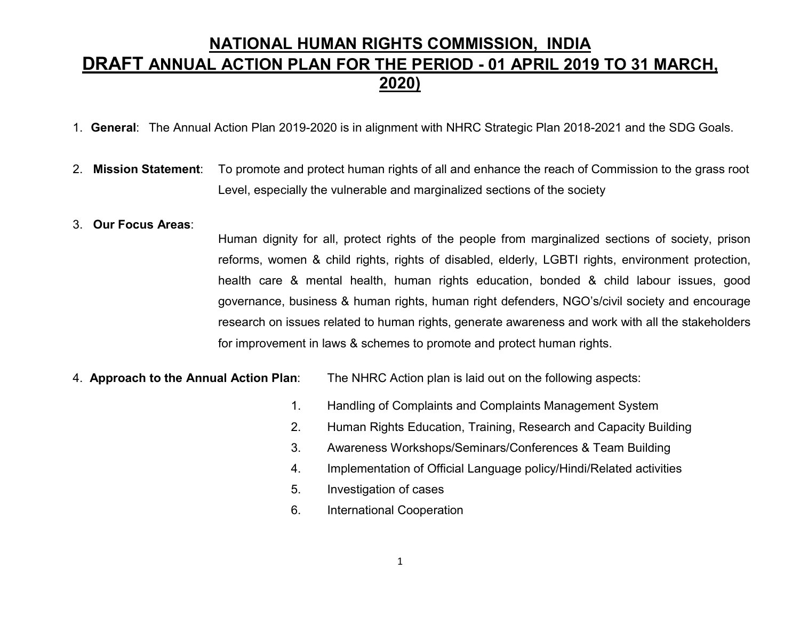## NATIONAL HUMAN RIGHTS COMMISSION, INDIA DRAFT ANNUAL ACTION PLAN FOR THE PERIOD - 01 APRIL 2019 TO 31 MARCH, 2020)

- 1. General: The Annual Action Plan 2019-2020 is in alignment with NHRC Strategic Plan 2018-2021 and the SDG Goals.
- 2. Mission Statement: To promote and protect human rights of all and enhance the reach of Commission to the grass root Level, especially the vulnerable and marginalized sections of the society

## 3. Our Focus Areas:

Human dignity for all, protect rights of the people from marginalized sections of society, prison reforms, women & child rights, rights of disabled, elderly, LGBTI rights, environment protection, health care & mental health, human rights education, bonded & child labour issues, good governance, business & human rights, human right defenders, NGO's/civil society and encourage research on issues related to human rights, generate awareness and work with all the stakeholders for improvement in laws & schemes to promote and protect human rights.

4. **Approach to the Annual Action Plan:** The NHRC Action plan is laid out on the following aspects:

- 1. Handling of Complaints and Complaints Management System
- 2. Human Rights Education, Training, Research and Capacity Building
- 3. Awareness Workshops/Seminars/Conferences & Team Building
- 4. Implementation of Official Language policy/Hindi/Related activities
- 5. Investigation of cases
- 6. International Cooperation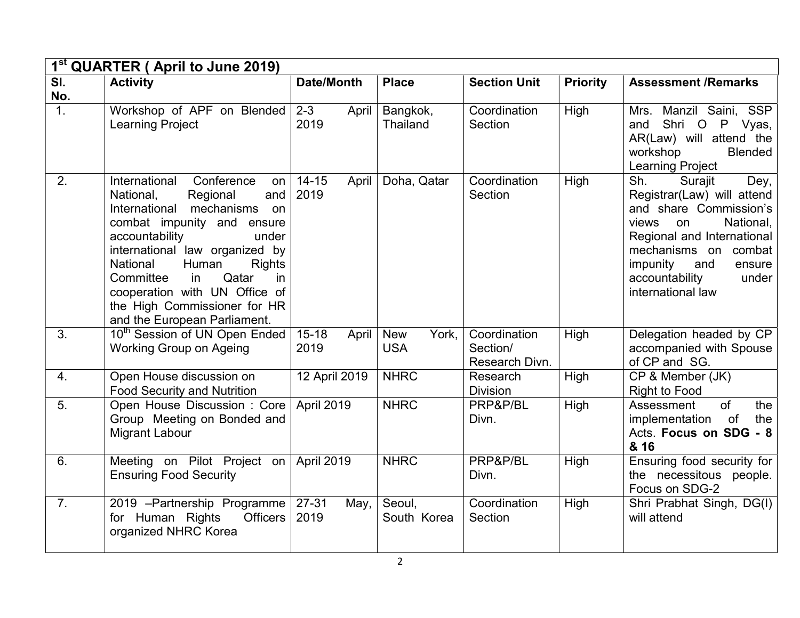|                            | 1 <sup>st</sup> QUARTER (April to June 2019)                                                                                                                                                                                                                                                                                                                            |                             |                                   |                                            |                 |                                                                                                                                                                                                                                               |  |  |
|----------------------------|-------------------------------------------------------------------------------------------------------------------------------------------------------------------------------------------------------------------------------------------------------------------------------------------------------------------------------------------------------------------------|-----------------------------|-----------------------------------|--------------------------------------------|-----------------|-----------------------------------------------------------------------------------------------------------------------------------------------------------------------------------------------------------------------------------------------|--|--|
| $\overline{\mathsf{SI}}$ . | <b>Activity</b>                                                                                                                                                                                                                                                                                                                                                         | Date/Month                  | <b>Place</b>                      | <b>Section Unit</b>                        | <b>Priority</b> | <b>Assessment /Remarks</b>                                                                                                                                                                                                                    |  |  |
| No.                        |                                                                                                                                                                                                                                                                                                                                                                         |                             |                                   |                                            |                 |                                                                                                                                                                                                                                               |  |  |
| $\overline{1}$ .           | Workshop of APF on Blended<br><b>Learning Project</b>                                                                                                                                                                                                                                                                                                                   | $2 - 3$<br>April<br>2019    | Bangkok,<br>Thailand              | Coordination<br>Section                    | High            | Mrs. Manzil Saini, SSP<br>Shri O<br>P<br>Vyas,<br>and<br>AR(Law) will attend the<br>workshop<br><b>Blended</b><br><b>Learning Project</b>                                                                                                     |  |  |
| 2.                         | International<br>Conference<br>on<br>National,<br>Regional<br>and<br>International mechanisms<br>on<br>combat impunity and ensure<br>accountability<br>under<br>international law organized by<br>National<br>Human<br><b>Rights</b><br>Committee<br>Qatar<br>in<br>in<br>cooperation with UN Office of<br>the High Commissioner for HR<br>and the European Parliament. | $14 - 15$<br>April<br>2019  | Doha, Qatar                       | Coordination<br>Section                    | High            | Sh.<br>Surajit<br>Dey,<br>Registrar(Law) will attend<br>and share Commission's<br>National,<br>views<br>on<br>Regional and International<br>mechanisms on combat<br>impunity<br>and<br>ensure<br>accountability<br>under<br>international law |  |  |
| 3.                         | 10 <sup>th</sup> Session of UN Open Ended<br><b>Working Group on Ageing</b>                                                                                                                                                                                                                                                                                             | $15 - 18$<br>April<br>2019  | York,<br><b>New</b><br><b>USA</b> | Coordination<br>Section/<br>Research Divn. | High            | Delegation headed by CP<br>accompanied with Spouse<br>of CP and SG.                                                                                                                                                                           |  |  |
| 4.                         | Open House discussion on<br><b>Food Security and Nutrition</b>                                                                                                                                                                                                                                                                                                          | 12 April 2019               | <b>NHRC</b>                       | Research<br><b>Division</b>                | High            | CP & Member (JK)<br><b>Right to Food</b>                                                                                                                                                                                                      |  |  |
| $\overline{5}$ .           | Open House Discussion: Core<br>Group Meeting on Bonded and<br><b>Migrant Labour</b>                                                                                                                                                                                                                                                                                     | April 2019                  | <b>NHRC</b>                       | PRP&P/BL<br>Divn.                          | High            | $\overline{of}$<br>the<br>Assessment<br>of<br>the<br>implementation<br>Acts. Focus on SDG - 8<br>& 16                                                                                                                                         |  |  |
| 6.                         | Meeting on Pilot Project on<br><b>Ensuring Food Security</b>                                                                                                                                                                                                                                                                                                            | April 2019                  | <b>NHRC</b>                       | PRP&P/BL<br>Divn.                          | High            | Ensuring food security for<br>the necessitous people.<br>Focus on SDG-2                                                                                                                                                                       |  |  |
| $\overline{7}$ .           | 2019 - Partnership Programme<br>for Human Rights<br><b>Officers</b><br>organized NHRC Korea                                                                                                                                                                                                                                                                             | $27 - 31$<br>May, I<br>2019 | Seoul,<br>South Korea             | Coordination<br>Section                    | High            | Shri Prabhat Singh, DG(I)<br>will attend                                                                                                                                                                                                      |  |  |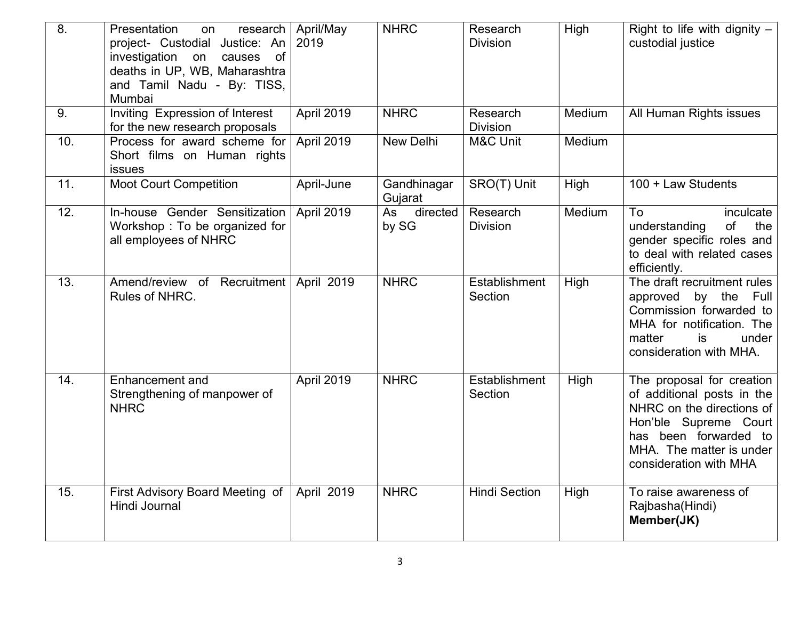| 8.  | Presentation<br>research<br>on<br>project- Custodial Justice: An<br>investigation<br>on<br>of<br>causes<br>deaths in UP, WB, Maharashtra<br>and Tamil Nadu - By: TISS,<br>Mumbai | April/May<br>2019 | <b>NHRC</b>            | Research<br><b>Division</b>     | High   | Right to life with dignity $-$<br>custodial justice                                                                                                                                          |
|-----|----------------------------------------------------------------------------------------------------------------------------------------------------------------------------------|-------------------|------------------------|---------------------------------|--------|----------------------------------------------------------------------------------------------------------------------------------------------------------------------------------------------|
| 9.  | Inviting Expression of Interest<br>for the new research proposals                                                                                                                | April 2019        | <b>NHRC</b>            | Research<br><b>Division</b>     | Medium | All Human Rights issues                                                                                                                                                                      |
| 10. | Process for award scheme for<br>Short films on Human rights<br>issues                                                                                                            | April 2019        | New Delhi              | M&C Unit                        | Medium |                                                                                                                                                                                              |
| 11. | <b>Moot Court Competition</b>                                                                                                                                                    | April-June        | Gandhinagar<br>Gujarat | SRO(T) Unit                     | High   | 100 + Law Students                                                                                                                                                                           |
| 12. | In-house Gender Sensitization<br>Workshop: To be organized for<br>all employees of NHRC                                                                                          | April 2019        | As directed<br>by SG   | Research<br><b>Division</b>     | Medium | To<br>inculcate<br>of<br>understanding<br>the<br>gender specific roles and<br>to deal with related cases<br>efficiently.                                                                     |
| 13. | Amend/review of Recruitment   April 2019<br>Rules of NHRC.                                                                                                                       |                   | <b>NHRC</b>            | <b>Establishment</b><br>Section | High   | The draft recruitment rules<br>approved by the Full<br>Commission forwarded to<br>MHA for notification. The<br>is<br>matter<br>under<br>consideration with MHA.                              |
| 14. | Enhancement and<br>Strengthening of manpower of<br><b>NHRC</b>                                                                                                                   | April 2019        | <b>NHRC</b>            | Establishment<br>Section        | High   | The proposal for creation<br>of additional posts in the<br>NHRC on the directions of<br>Hon'ble Supreme Court<br>has been forwarded to<br>MHA. The matter is under<br>consideration with MHA |
| 15. | First Advisory Board Meeting of<br>Hindi Journal                                                                                                                                 | April 2019        | <b>NHRC</b>            | <b>Hindi Section</b>            | High   | To raise awareness of<br>Rajbasha(Hindi)<br>Member(JK)                                                                                                                                       |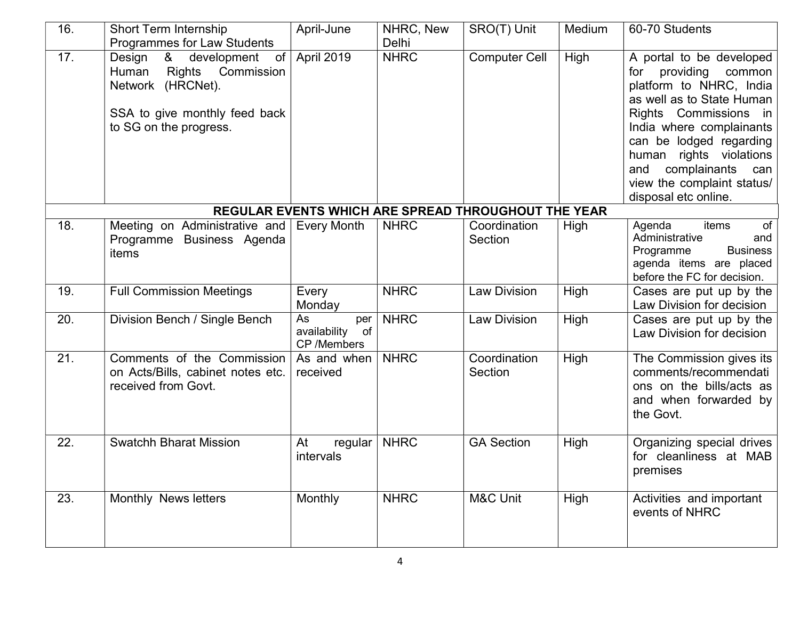| 16.                                                 | <b>Short Term Internship</b><br>Programmes for Law Students                                                                                              | April-June                                     | NHRC, New<br>Delhi | SRO(T) Unit             | Medium | 60-70 Students                                                                                                                                                                                                                                                                                                |  |  |  |
|-----------------------------------------------------|----------------------------------------------------------------------------------------------------------------------------------------------------------|------------------------------------------------|--------------------|-------------------------|--------|---------------------------------------------------------------------------------------------------------------------------------------------------------------------------------------------------------------------------------------------------------------------------------------------------------------|--|--|--|
| 17.                                                 | Design<br>development<br>&<br>of<br><b>Rights</b><br>Commission<br>Human<br>Network (HRCNet).<br>SSA to give monthly feed back<br>to SG on the progress. | April 2019                                     | <b>NHRC</b>        | <b>Computer Cell</b>    | High   | A portal to be developed<br>providing<br>common<br>for<br>platform to NHRC, India<br>as well as to State Human<br>Rights Commissions in<br>India where complainants<br>can be lodged regarding<br>human rights violations<br>complainants<br>and<br>can<br>view the complaint status/<br>disposal etc online. |  |  |  |
| REGULAR EVENTS WHICH ARE SPREAD THROUGHOUT THE YEAR |                                                                                                                                                          |                                                |                    |                         |        |                                                                                                                                                                                                                                                                                                               |  |  |  |
| 18.                                                 | Meeting on Administrative and<br>Programme Business Agenda<br>items                                                                                      | <b>Every Month</b>                             | <b>NHRC</b>        | Coordination<br>Section | High   | of<br>Agenda<br>items<br>Administrative<br>and<br>Programme<br><b>Business</b><br>agenda items are placed<br>before the FC for decision.                                                                                                                                                                      |  |  |  |
| 19.                                                 | <b>Full Commission Meetings</b>                                                                                                                          | Every<br>Monday                                | <b>NHRC</b>        | <b>Law Division</b>     | High   | Cases are put up by the<br>Law Division for decision                                                                                                                                                                                                                                                          |  |  |  |
| 20.                                                 | Division Bench / Single Bench                                                                                                                            | As<br>per<br>availability<br>of<br>CP /Members | <b>NHRC</b>        | <b>Law Division</b>     | High   | Cases are put up by the<br>Law Division for decision                                                                                                                                                                                                                                                          |  |  |  |
| $\overline{21}$ .                                   | Comments of the Commission<br>on Acts/Bills, cabinet notes etc.<br>received from Govt.                                                                   | As and when $ $<br>received                    | <b>NHRC</b>        | Coordination<br>Section | High   | The Commission gives its<br>comments/recommendati<br>ons on the bills/acts as<br>and when forwarded by<br>the Govt.                                                                                                                                                                                           |  |  |  |
| 22.                                                 | <b>Swatchh Bharat Mission</b>                                                                                                                            | regular<br>At<br>intervals                     | <b>NHRC</b>        | <b>GA Section</b>       | High   | Organizing special drives<br>for cleanliness at MAB<br>premises                                                                                                                                                                                                                                               |  |  |  |
| 23.                                                 | Monthly News letters                                                                                                                                     | Monthly                                        | <b>NHRC</b>        | <b>M&amp;C Unit</b>     | High   | Activities and important<br>events of NHRC                                                                                                                                                                                                                                                                    |  |  |  |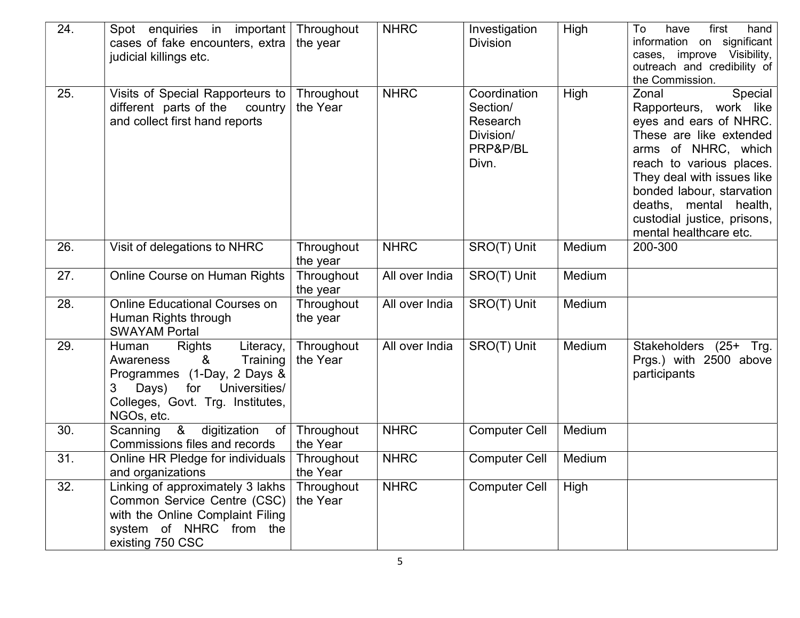| 24. | Spot enquiries in important Throughout<br>cases of fake encounters, extra<br>judicial killings etc.                                                                               | the year               | <b>NHRC</b>    | Investigation<br><b>Division</b>                                       | High   | have<br>first<br>hand<br>To<br>information on significant<br>cases, improve Visibility,<br>outreach and credibility of<br>the Commission.                                                                                                                                                        |
|-----|-----------------------------------------------------------------------------------------------------------------------------------------------------------------------------------|------------------------|----------------|------------------------------------------------------------------------|--------|--------------------------------------------------------------------------------------------------------------------------------------------------------------------------------------------------------------------------------------------------------------------------------------------------|
| 25. | Visits of Special Rapporteurs to<br>different parts of the<br>country<br>and collect first hand reports                                                                           | Throughout<br>the Year | <b>NHRC</b>    | Coordination<br>Section/<br>Research<br>Division/<br>PRP&P/BL<br>Divn. | High   | Special<br>Zonal<br>Rapporteurs, work like<br>eyes and ears of NHRC.<br>These are like extended<br>arms of NHRC, which<br>reach to various places.<br>They deal with issues like<br>bonded labour, starvation<br>deaths, mental health,<br>custodial justice, prisons,<br>mental healthcare etc. |
| 26. | Visit of delegations to NHRC                                                                                                                                                      | Throughout<br>the year | <b>NHRC</b>    | SRO(T) Unit                                                            | Medium | 200-300                                                                                                                                                                                                                                                                                          |
| 27. | Online Course on Human Rights                                                                                                                                                     | Throughout<br>the year | All over India | SRO(T) Unit                                                            | Medium |                                                                                                                                                                                                                                                                                                  |
| 28. | <b>Online Educational Courses on</b><br>Human Rights through<br><b>SWAYAM Portal</b>                                                                                              | Throughout<br>the year | All over India | SRO(T) Unit                                                            | Medium |                                                                                                                                                                                                                                                                                                  |
| 29. | Rights<br>Human<br>Literacy,<br>&<br>Training<br>Awareness<br>Programmes (1-Day, 2 Days &<br>for<br>3<br>Universities/<br>Days)<br>Colleges, Govt. Trg. Institutes,<br>NGOs, etc. | Throughout<br>the Year | All over India | SRO(T) Unit                                                            | Medium | Stakeholders (25+ Trg.<br>Prgs.) with 2500 above<br>participants                                                                                                                                                                                                                                 |
| 30. | Scanning &<br>digitization<br>of<br>Commissions files and records                                                                                                                 | Throughout<br>the Year | <b>NHRC</b>    | <b>Computer Cell</b>                                                   | Medium |                                                                                                                                                                                                                                                                                                  |
| 31. | Online HR Pledge for individuals<br>and organizations                                                                                                                             | Throughout<br>the Year | <b>NHRC</b>    | <b>Computer Cell</b>                                                   | Medium |                                                                                                                                                                                                                                                                                                  |
| 32. | Linking of approximately 3 lakhs<br>Common Service Centre (CSC)<br>with the Online Complaint Filing<br>system of NHRC from the<br>existing 750 CSC                                | Throughout<br>the Year | <b>NHRC</b>    | <b>Computer Cell</b>                                                   | High   |                                                                                                                                                                                                                                                                                                  |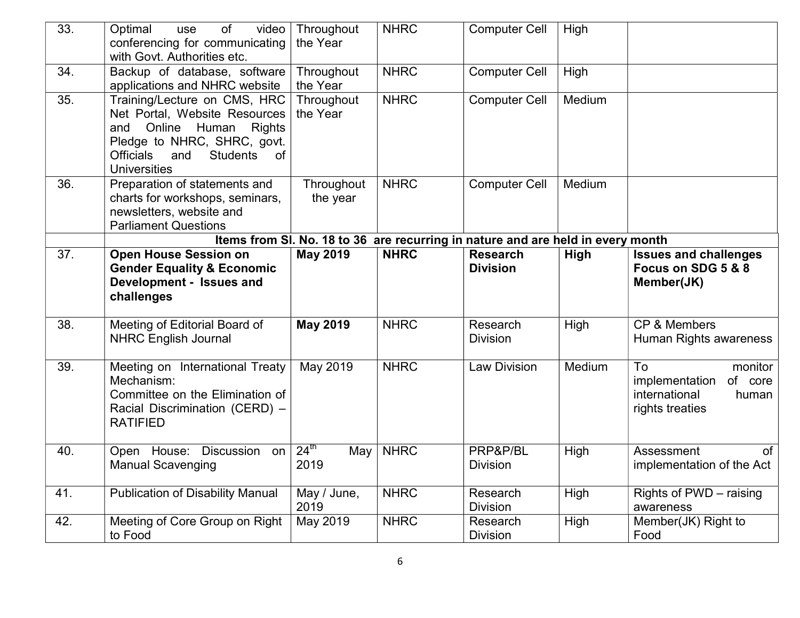| 33.                                                                             | of<br>video<br>Optimal<br>use<br>conferencing for communicating<br>with Govt. Authorities etc.                                                                                                                             | Throughout<br>the Year          | <b>NHRC</b> | <b>Computer Cell</b>               | High   |                                                                                         |  |  |
|---------------------------------------------------------------------------------|----------------------------------------------------------------------------------------------------------------------------------------------------------------------------------------------------------------------------|---------------------------------|-------------|------------------------------------|--------|-----------------------------------------------------------------------------------------|--|--|
| 34.                                                                             | Backup of database, software<br>applications and NHRC website                                                                                                                                                              | Throughout<br>the Year          | <b>NHRC</b> | <b>Computer Cell</b>               | High   |                                                                                         |  |  |
| 35.                                                                             | Training/Lecture on CMS, HRC<br>Net Portal, Website Resources<br>Online Human<br><b>Rights</b><br>and<br>Pledge to NHRC, SHRC, govt.<br><b>Officials</b><br><b>Students</b><br>and<br><sub>of</sub><br><b>Universities</b> | Throughout<br>the Year          | <b>NHRC</b> | <b>Computer Cell</b>               | Medium |                                                                                         |  |  |
| 36.                                                                             | Preparation of statements and<br>charts for workshops, seminars,<br>newsletters, website and<br><b>Parliament Questions</b>                                                                                                | Throughout<br>the year          | <b>NHRC</b> | <b>Computer Cell</b>               | Medium |                                                                                         |  |  |
| Items from SI. No. 18 to 36 are recurring in nature and are held in every month |                                                                                                                                                                                                                            |                                 |             |                                    |        |                                                                                         |  |  |
| 37.                                                                             | <b>Open House Session on</b><br><b>Gender Equality &amp; Economic</b><br>Development - Issues and<br>challenges                                                                                                            | <b>May 2019</b>                 | <b>NHRC</b> | <b>Research</b><br><b>Division</b> | High   | <b>Issues and challenges</b><br>Focus on SDG 5 & 8<br>Member(JK)                        |  |  |
| 38.                                                                             | Meeting of Editorial Board of<br><b>NHRC English Journal</b>                                                                                                                                                               | <b>May 2019</b>                 | <b>NHRC</b> | Research<br><b>Division</b>        | High   | <b>CP &amp; Members</b><br>Human Rights awareness                                       |  |  |
| 39.                                                                             | Meeting on International Treaty<br>Mechanism:<br>Committee on the Elimination of<br>Racial Discrimination (CERD) -<br><b>RATIFIED</b>                                                                                      | May 2019                        | <b>NHRC</b> | <b>Law Division</b>                | Medium | To<br>monitor<br>implementation<br>of core<br>international<br>human<br>rights treaties |  |  |
| 40.                                                                             | Open House: Discussion on<br><b>Manual Scavenging</b>                                                                                                                                                                      | $24^{\text{th}}$<br>May<br>2019 | <b>NHRC</b> | PRP&P/BL<br><b>Division</b>        | High   | Assessment<br>of<br>implementation of the Act                                           |  |  |
| 41.                                                                             | <b>Publication of Disability Manual</b>                                                                                                                                                                                    | May / June,<br>2019             | <b>NHRC</b> | Research<br><b>Division</b>        | High   | Rights of PWD - raising<br>awareness                                                    |  |  |
| 42.                                                                             | Meeting of Core Group on Right<br>to Food                                                                                                                                                                                  | May 2019                        | <b>NHRC</b> | Research<br><b>Division</b>        | High   | Member(JK) Right to<br>Food                                                             |  |  |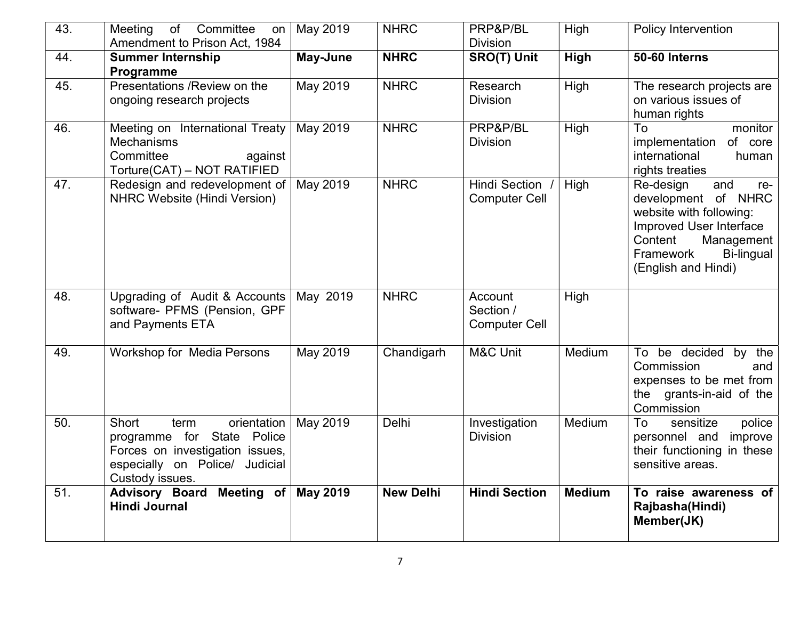| 43. | Meeting<br>of<br>Committee<br>on<br>Amendment to Prison Act, 1984                                                                                     | May 2019        | <b>NHRC</b>      | PRP&P/BL<br><b>Division</b>                  | High          | Policy Intervention                                                                                                                                                             |
|-----|-------------------------------------------------------------------------------------------------------------------------------------------------------|-----------------|------------------|----------------------------------------------|---------------|---------------------------------------------------------------------------------------------------------------------------------------------------------------------------------|
| 44. | <b>Summer Internship</b><br>Programme                                                                                                                 | May-June        | <b>NHRC</b>      | <b>SRO(T) Unit</b>                           | High          | 50-60 Interns                                                                                                                                                                   |
| 45. | Presentations / Review on the<br>ongoing research projects                                                                                            | May 2019        | <b>NHRC</b>      | Research<br><b>Division</b>                  | High          | The research projects are<br>on various issues of<br>human rights                                                                                                               |
| 46. | Meeting on International Treaty<br><b>Mechanisms</b><br>Committee<br>against<br>Torture(CAT) - NOT RATIFIED                                           | May 2019        | <b>NHRC</b>      | PRP&P/BL<br><b>Division</b>                  | High          | To<br>monitor<br>of core<br>implementation<br>international<br>human<br>rights treaties                                                                                         |
| 47. | Redesign and redevelopment of<br><b>NHRC Website (Hindi Version)</b>                                                                                  | May 2019        | <b>NHRC</b>      | Hindi Section<br><b>Computer Cell</b>        | High          | and<br>Re-design<br>re-<br>development of NHRC<br>website with following:<br>Improved User Interface<br>Content<br>Management<br>Framework<br>Bi-lingual<br>(English and Hindi) |
| 48. | Upgrading of Audit & Accounts<br>software- PFMS (Pension, GPF<br>and Payments ETA                                                                     | May 2019        | <b>NHRC</b>      | Account<br>Section /<br><b>Computer Cell</b> | High          |                                                                                                                                                                                 |
| 49. | Workshop for Media Persons                                                                                                                            | May 2019        | Chandigarh       | <b>M&amp;C Unit</b>                          | Medium        | To be decided by the<br>Commission<br>and<br>expenses to be met from<br>the grants-in-aid of the<br>Commission                                                                  |
| 50. | Short<br>orientation<br>term<br>programme for State Police<br>Forces on investigation issues,<br>especially on Police/<br>Judicial<br>Custody issues. | May 2019        | Delhi            | Investigation<br><b>Division</b>             | Medium        | To<br>sensitize<br>police<br>personnel and<br>improve<br>their functioning in these<br>sensitive areas.                                                                         |
| 51. | Advisory Board Meeting of<br><b>Hindi Journal</b>                                                                                                     | <b>May 2019</b> | <b>New Delhi</b> | <b>Hindi Section</b>                         | <b>Medium</b> | To raise awareness of<br>Rajbasha(Hindi)<br>Member(JK)                                                                                                                          |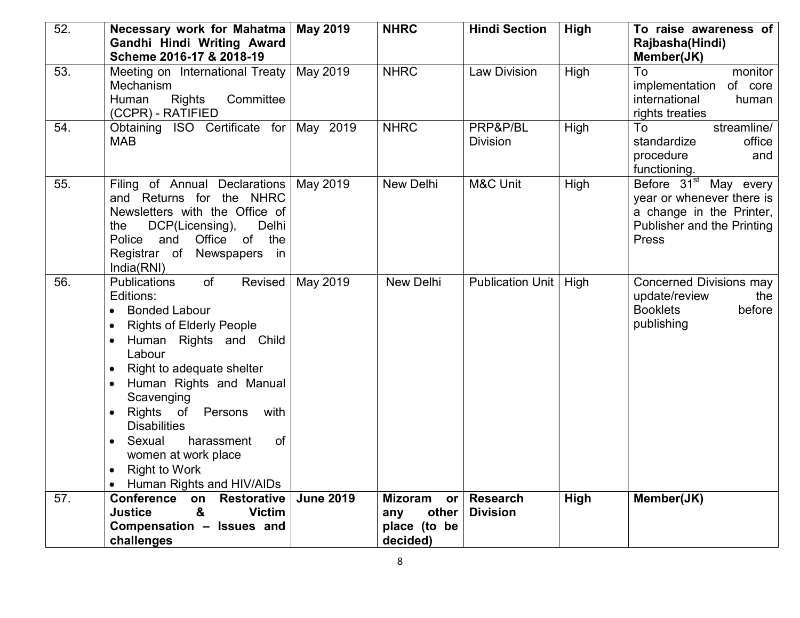| 52. | Necessary work for Mahatma<br>Gandhi Hindi Writing Award<br>Scheme 2016-17 & 2018-19                                                                                                                                                                                                                                                                                                                                          | <b>May 2019</b>  | <b>NHRC</b>                            | <b>Hindi Section</b>               | High | To raise awareness of<br>Rajbasha(Hindi)<br>Member(JK)                                                                            |
|-----|-------------------------------------------------------------------------------------------------------------------------------------------------------------------------------------------------------------------------------------------------------------------------------------------------------------------------------------------------------------------------------------------------------------------------------|------------------|----------------------------------------|------------------------------------|------|-----------------------------------------------------------------------------------------------------------------------------------|
| 53. | Meeting on International Treaty<br>Mechanism<br><b>Rights</b><br>Committee<br>Human<br>(CCPR) - RATIFIED                                                                                                                                                                                                                                                                                                                      | May 2019         | <b>NHRC</b>                            | <b>Law Division</b>                | High | To<br>monitor<br>of core<br>implementation<br>international<br>human<br>rights treaties                                           |
| 54. | Obtaining ISO Certificate for May 2019<br><b>MAB</b>                                                                                                                                                                                                                                                                                                                                                                          |                  | <b>NHRC</b>                            | PRP&P/BL<br><b>Division</b>        | High | streamline/<br>To<br>standardize<br>office<br>procedure<br>and<br>functioning.                                                    |
| 55. | Filing of Annual Declarations   May 2019<br>and Returns for the NHRC<br>Newsletters with the Office of<br>DCP(Licensing),<br>Delhi<br>the<br>Office of the<br>Police<br>and<br>Registrar of Newspapers in<br>India(RNI)                                                                                                                                                                                                       |                  | New Delhi                              | M&C Unit                           | High | Before 31 <sup>st</sup> May every<br>year or whenever there is<br>a change in the Printer,<br>Publisher and the Printing<br>Press |
| 56. | <b>Publications</b><br>of<br>Revised<br>Editions:<br><b>Bonded Labour</b><br><b>Rights of Elderly People</b><br>Human Rights and Child<br>Labour<br>Right to adequate shelter<br>Human Rights and Manual<br>Scavenging<br>Rights of Persons<br>with<br>$\bullet$<br><b>Disabilities</b><br>Sexual<br>harassment<br>of<br>$\bullet$<br>women at work place<br><b>Right to Work</b><br>$\bullet$<br>• Human Rights and HIV/AIDs | May 2019         | New Delhi                              | Publication Unit   High            |      | Concerned Divisions may<br>update/review<br>the<br><b>Booklets</b><br>before<br>publishing                                        |
| 57. | Conference on<br><b>Restorative</b><br>&<br><b>Justice</b><br><b>Victim</b>                                                                                                                                                                                                                                                                                                                                                   | <b>June 2019</b> | <b>Mizoram</b><br>or 1<br>other<br>any | <b>Research</b><br><b>Division</b> | High | Member(JK)                                                                                                                        |
|     | Compensation - Issues and                                                                                                                                                                                                                                                                                                                                                                                                     |                  | place (to be                           |                                    |      |                                                                                                                                   |
|     | challenges                                                                                                                                                                                                                                                                                                                                                                                                                    |                  | decided)                               |                                    |      |                                                                                                                                   |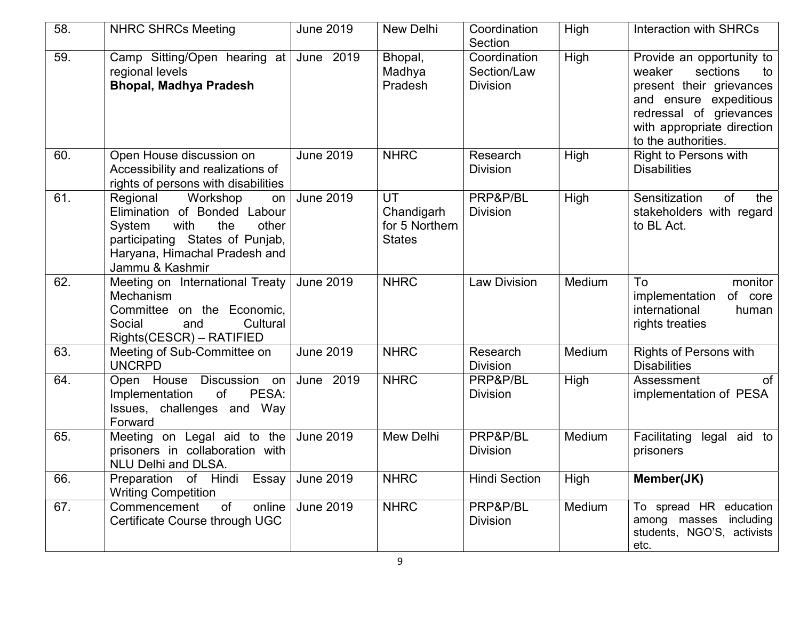| 58. | <b>NHRC SHRCs Meeting</b>                                                                                                                                                           | <b>June 2019</b>    | New Delhi                                           | Coordination<br>Section                        | High   | Interaction with SHRCs                                                                                                                                                                      |
|-----|-------------------------------------------------------------------------------------------------------------------------------------------------------------------------------------|---------------------|-----------------------------------------------------|------------------------------------------------|--------|---------------------------------------------------------------------------------------------------------------------------------------------------------------------------------------------|
| 59. | Camp Sitting/Open hearing at<br>regional levels<br><b>Bhopal, Madhya Pradesh</b>                                                                                                    | June 2019           | Bhopal,<br>Madhya<br>Pradesh                        | Coordination<br>Section/Law<br><b>Division</b> | High   | Provide an opportunity to<br>sections<br>weaker<br>to<br>present their grievances<br>and ensure expeditious<br>redressal of grievances<br>with appropriate direction<br>to the authorities. |
| 60. | Open House discussion on<br>Accessibility and realizations of<br>rights of persons with disabilities                                                                                | <b>June 2019</b>    | <b>NHRC</b>                                         | Research<br><b>Division</b>                    | High   | <b>Right to Persons with</b><br><b>Disabilities</b>                                                                                                                                         |
| 61. | Regional<br>Workshop<br>on<br>Elimination of Bonded Labour<br>with<br>the<br>System<br>other<br>participating States of Punjab,<br>Haryana, Himachal Pradesh and<br>Jammu & Kashmir | <b>June 2019</b>    | UT<br>Chandigarh<br>for 5 Northern<br><b>States</b> | PRP&P/BL<br><b>Division</b>                    | High   | Sensitization<br>of<br>the<br>stakeholders with regard<br>to BL Act.                                                                                                                        |
| 62. | Meeting on International Treaty<br>Mechanism<br>Committee on the Economic,<br>Cultural<br>Social<br>and<br>Rights(CESCR) – RATIFIED                                                 | <b>June 2019</b>    | <b>NHRC</b>                                         | <b>Law Division</b>                            | Medium | To<br>monitor<br>implementation<br>of core<br>international<br>human<br>rights treaties                                                                                                     |
| 63. | Meeting of Sub-Committee on<br><b>UNCRPD</b>                                                                                                                                        | <b>June 2019</b>    | <b>NHRC</b>                                         | Research<br><b>Division</b>                    | Medium | <b>Rights of Persons with</b><br><b>Disabilities</b>                                                                                                                                        |
| 64. | Open House Discussion<br>on<br>Implementation<br>PESA:<br>of<br>Issues, challenges and Way<br>Forward                                                                               | June 2019           | <b>NHRC</b>                                         | PRP&P/BL<br><b>Division</b>                    | High   | of<br>Assessment<br>implementation of PESA                                                                                                                                                  |
| 65. | Meeting on Legal aid to the<br>prisoners in collaboration with<br><b>NLU Delhi and DLSA.</b>                                                                                        | <b>June 2019</b>    | Mew Delhi                                           | PRP&P/BL<br><b>Division</b>                    | Medium | legal aid to<br>Facilitating<br>prisoners                                                                                                                                                   |
| 66. | Preparation of Hindi<br><b>Writing Competition</b>                                                                                                                                  | Essay $ $ June 2019 | <b>NHRC</b>                                         | <b>Hindi Section</b>                           | High   | Member(JK)                                                                                                                                                                                  |
| 67. | Commencement<br>online<br>of<br>Certificate Course through UGC                                                                                                                      | <b>June 2019</b>    | <b>NHRC</b>                                         | PRP&P/BL<br><b>Division</b>                    | Medium | To spread HR education<br>among masses including<br>students, NGO'S, activists<br>etc.                                                                                                      |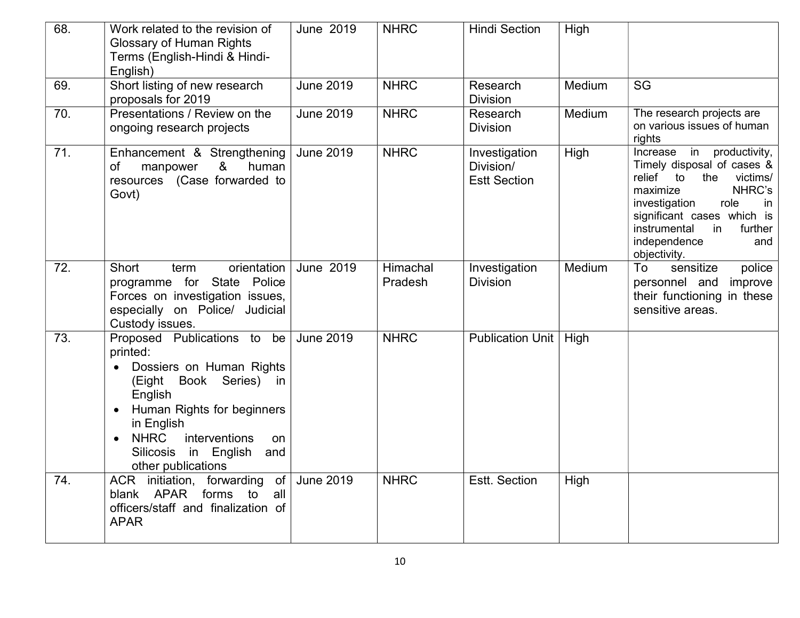| 68. | Work related to the revision of<br><b>Glossary of Human Rights</b><br>Terms (English-Hindi & Hindi-<br>English)                                                                                                                                                 | June 2019        | <b>NHRC</b>         | <b>Hindi Section</b>                              | High   |                                                                                                                                                                                                                                                       |
|-----|-----------------------------------------------------------------------------------------------------------------------------------------------------------------------------------------------------------------------------------------------------------------|------------------|---------------------|---------------------------------------------------|--------|-------------------------------------------------------------------------------------------------------------------------------------------------------------------------------------------------------------------------------------------------------|
| 69. | Short listing of new research<br>proposals for 2019                                                                                                                                                                                                             | <b>June 2019</b> | <b>NHRC</b>         | Research<br><b>Division</b>                       | Medium | SG                                                                                                                                                                                                                                                    |
| 70. | Presentations / Review on the<br>ongoing research projects                                                                                                                                                                                                      | <b>June 2019</b> | <b>NHRC</b>         | Research<br><b>Division</b>                       | Medium | The research projects are<br>on various issues of human<br>rights                                                                                                                                                                                     |
| 71. | Enhancement & Strengthening<br>8 <sub>o</sub><br><b>of</b><br>human<br>manpower<br>resources (Case forwarded to<br>Govt)                                                                                                                                        | <b>June 2019</b> | <b>NHRC</b>         | Investigation<br>Division/<br><b>Estt Section</b> | High   | Increase in<br>productivity,<br>Timely disposal of cases &<br>relief to<br>victims/<br>the<br>NHRC's<br>maximize<br>investigation<br>role<br>in<br>significant cases which is<br>instrumental<br>further<br>in<br>independence<br>and<br>objectivity. |
| 72. | <b>Short</b><br>orientation<br>term<br>programme for State Police<br>Forces on investigation issues,<br>especially on Police/ Judicial<br>Custody issues.                                                                                                       | June 2019        | Himachal<br>Pradesh | Investigation<br><b>Division</b>                  | Medium | sensitize<br>To<br>police<br>personnel and<br>improve<br>their functioning in these<br>sensitive areas.                                                                                                                                               |
| 73. | Proposed Publications to be<br>printed:<br>Dossiers on Human Rights<br>$\bullet$<br>(Eight Book Series) in<br>English<br>Human Rights for beginners<br>in English<br><b>NHRC</b><br>interventions<br>on<br>Silicosis<br>in English<br>and<br>other publications | <b>June 2019</b> | <b>NHRC</b>         | <b>Publication Unit</b>                           | High   |                                                                                                                                                                                                                                                       |
| 74. | ACR initiation, forwarding of<br><b>APAR</b><br>blank<br>forms<br>to<br>all<br>officers/staff and finalization of<br><b>APAR</b>                                                                                                                                | <b>June 2019</b> | <b>NHRC</b>         | Estt. Section                                     | High   |                                                                                                                                                                                                                                                       |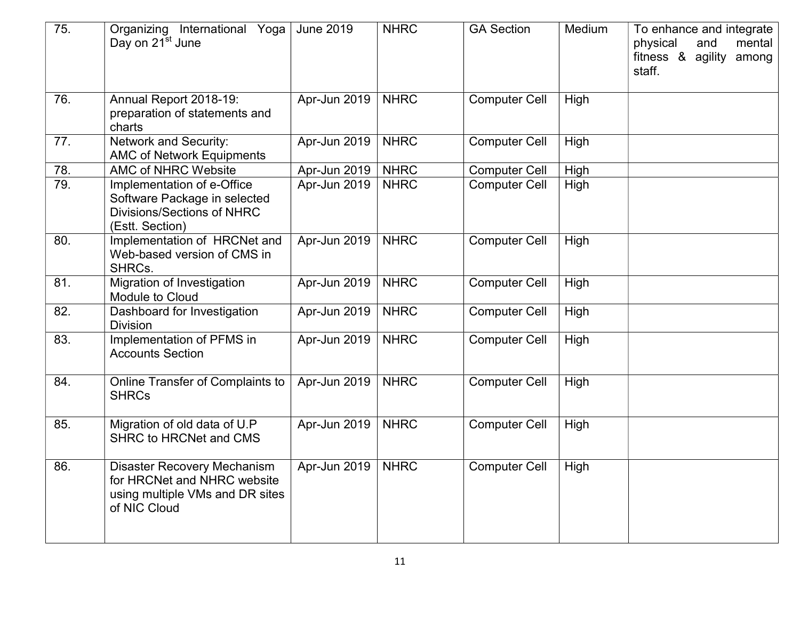| 75. | Organizing International Yoga<br>Day on 21 <sup>st</sup> June                                                        | <b>June 2019</b> | <b>NHRC</b> | <b>GA Section</b>    | Medium      | To enhance and integrate<br>physical<br>and<br>mental<br>fitness &<br>agility<br>among<br>staff. |
|-----|----------------------------------------------------------------------------------------------------------------------|------------------|-------------|----------------------|-------------|--------------------------------------------------------------------------------------------------|
| 76. | Annual Report 2018-19:<br>preparation of statements and<br>charts                                                    | Apr-Jun 2019     | <b>NHRC</b> | <b>Computer Cell</b> | High        |                                                                                                  |
| 77. | Network and Security:<br><b>AMC of Network Equipments</b>                                                            | Apr-Jun 2019     | <b>NHRC</b> | <b>Computer Cell</b> | High        |                                                                                                  |
| 78. | <b>AMC of NHRC Website</b>                                                                                           | Apr-Jun 2019     | <b>NHRC</b> | <b>Computer Cell</b> | High        |                                                                                                  |
| 79. | Implementation of e-Office<br>Software Package in selected<br><b>Divisions/Sections of NHRC</b><br>(Estt. Section)   | Apr-Jun 2019     | <b>NHRC</b> | <b>Computer Cell</b> | High        |                                                                                                  |
| 80. | Implementation of HRCNet and<br>Web-based version of CMS in<br>SHRCs.                                                | Apr-Jun 2019     | <b>NHRC</b> | <b>Computer Cell</b> | High        |                                                                                                  |
| 81. | Migration of Investigation<br>Module to Cloud                                                                        | Apr-Jun 2019     | <b>NHRC</b> | <b>Computer Cell</b> | <b>High</b> |                                                                                                  |
| 82. | Dashboard for Investigation<br><b>Division</b>                                                                       | Apr-Jun 2019     | <b>NHRC</b> | <b>Computer Cell</b> | High        |                                                                                                  |
| 83. | Implementation of PFMS in<br><b>Accounts Section</b>                                                                 | Apr-Jun 2019     | <b>NHRC</b> | <b>Computer Cell</b> | High        |                                                                                                  |
| 84. | Online Transfer of Complaints to<br><b>SHRCs</b>                                                                     | Apr-Jun 2019     | <b>NHRC</b> | <b>Computer Cell</b> | High        |                                                                                                  |
| 85. | Migration of old data of U.P<br><b>SHRC to HRCNet and CMS</b>                                                        | Apr-Jun 2019     | <b>NHRC</b> | <b>Computer Cell</b> | High        |                                                                                                  |
| 86. | <b>Disaster Recovery Mechanism</b><br>for HRCNet and NHRC website<br>using multiple VMs and DR sites<br>of NIC Cloud | Apr-Jun 2019     | <b>NHRC</b> | <b>Computer Cell</b> | High        |                                                                                                  |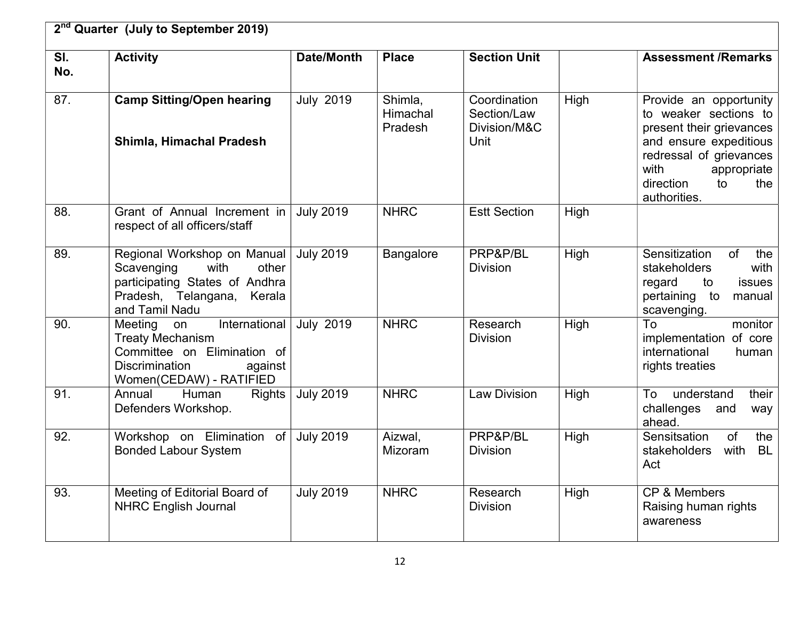|            | 2 <sup>nd</sup> Quarter (July to September 2019)                                                                                                     |                   |                                |                                                     |      |                                                                                                                                                                                                   |  |  |
|------------|------------------------------------------------------------------------------------------------------------------------------------------------------|-------------------|--------------------------------|-----------------------------------------------------|------|---------------------------------------------------------------------------------------------------------------------------------------------------------------------------------------------------|--|--|
| SI.<br>No. | <b>Activity</b>                                                                                                                                      | <b>Date/Month</b> | <b>Place</b>                   | <b>Section Unit</b>                                 |      | <b>Assessment /Remarks</b>                                                                                                                                                                        |  |  |
| 87.        | <b>Camp Sitting/Open hearing</b><br>Shimla, Himachal Pradesh                                                                                         | <b>July 2019</b>  | Shimla,<br>Himachal<br>Pradesh | Coordination<br>Section/Law<br>Division/M&C<br>Unit | High | Provide an opportunity<br>to weaker sections to<br>present their grievances<br>and ensure expeditious<br>redressal of grievances<br>with<br>appropriate<br>direction<br>the<br>to<br>authorities. |  |  |
| 88.        | Grant of Annual Increment in<br>respect of all officers/staff                                                                                        | <b>July 2019</b>  | <b>NHRC</b>                    | <b>Estt Section</b>                                 | High |                                                                                                                                                                                                   |  |  |
| 89.        | Regional Workshop on Manual<br>Scavenging<br>other<br>with<br>participating States of Andhra<br>Pradesh, Telangana, Kerala<br>and Tamil Nadu         | <b>July 2019</b>  | <b>Bangalore</b>               | PRP&P/BL<br><b>Division</b>                         | High | Sensitization<br>of<br>the<br>with<br>stakeholders<br>issues<br>regard<br>to<br>pertaining to<br>manual<br>scavenging.                                                                            |  |  |
| 90.        | International<br>Meeting on<br><b>Treaty Mechanism</b><br>Committee on Elimination of<br><b>Discrimination</b><br>against<br>Women(CEDAW) - RATIFIED | <b>July 2019</b>  | <b>NHRC</b>                    | Research<br><b>Division</b>                         | High | To<br>monitor<br>implementation of core<br>international<br>human<br>rights treaties                                                                                                              |  |  |
| 91.        | Human<br><b>Rights</b><br>Annual<br>Defenders Workshop.                                                                                              | <b>July 2019</b>  | <b>NHRC</b>                    | <b>Law Division</b>                                 | High | understand<br>To<br>their<br>challenges<br>and<br>way<br>ahead.                                                                                                                                   |  |  |
| 92.        | Workshop on Elimination of<br><b>Bonded Labour System</b>                                                                                            | <b>July 2019</b>  | Aizwal,<br><b>Mizoram</b>      | PRP&P/BL<br><b>Division</b>                         | High | Sensitsation<br>of<br>the<br>with<br><b>BL</b><br>stakeholders<br>Act                                                                                                                             |  |  |
| 93.        | Meeting of Editorial Board of<br><b>NHRC English Journal</b>                                                                                         | <b>July 2019</b>  | <b>NHRC</b>                    | Research<br><b>Division</b>                         | High | CP & Members<br>Raising human rights<br>awareness                                                                                                                                                 |  |  |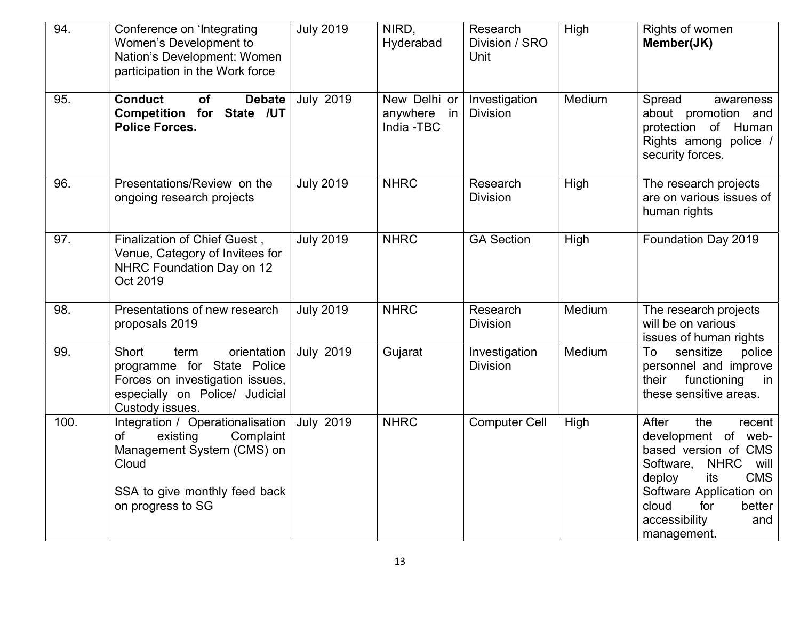| 94.  | Conference on 'Integrating<br>Women's Development to<br>Nation's Development: Women<br>participation in the Work force                                       | <b>July 2019</b> | NIRD,<br>Hyderabad                           | Research<br>Division / SRO<br>Unit | High   | Rights of women<br>Member(JK)                                                                                                                                                                                                        |
|------|--------------------------------------------------------------------------------------------------------------------------------------------------------------|------------------|----------------------------------------------|------------------------------------|--------|--------------------------------------------------------------------------------------------------------------------------------------------------------------------------------------------------------------------------------------|
| 95.  | <b>Conduct</b><br><b>Debate</b><br><b>of</b><br>Competition for State /UT<br><b>Police Forces.</b>                                                           | <b>July 2019</b> | New Delhi or<br>anywhere<br>in<br>India -TBC | Investigation<br><b>Division</b>   | Medium | Spread<br>awareness<br>about promotion and<br>protection of Human<br>Rights among police /<br>security forces.                                                                                                                       |
| 96.  | Presentations/Review on the<br>ongoing research projects                                                                                                     | <b>July 2019</b> | <b>NHRC</b>                                  | Research<br><b>Division</b>        | High   | The research projects<br>are on various issues of<br>human rights                                                                                                                                                                    |
| 97.  | Finalization of Chief Guest,<br>Venue, Category of Invitees for<br>NHRC Foundation Day on 12<br>Oct 2019                                                     | <b>July 2019</b> | <b>NHRC</b>                                  | <b>GA Section</b>                  | High   | Foundation Day 2019                                                                                                                                                                                                                  |
| 98.  | Presentations of new research<br>proposals 2019                                                                                                              | <b>July 2019</b> | <b>NHRC</b>                                  | Research<br><b>Division</b>        | Medium | The research projects<br>will be on various<br>issues of human rights                                                                                                                                                                |
| 99.  | <b>Short</b><br>orientation<br>term<br>programme for State Police<br>Forces on investigation issues,<br>especially on Police/ Judicial<br>Custody issues.    | <b>July 2019</b> | Gujarat                                      | Investigation<br><b>Division</b>   | Medium | To<br>sensitize<br>police<br>personnel and improve<br>functioning<br>their<br>in<br>these sensitive areas.                                                                                                                           |
| 100. | Integration / Operationalisation<br>Complaint<br>of<br>existing<br>Management System (CMS) on<br>Cloud<br>SSA to give monthly feed back<br>on progress to SG | <b>July 2019</b> | <b>NHRC</b>                                  | <b>Computer Cell</b>               | High   | After<br>the<br>recent<br>development of web-<br>based version of CMS<br><b>NHRC</b><br>Software,<br>will<br><b>CMS</b><br>deploy<br>its<br>Software Application on<br>cloud<br>for<br>better<br>accessibility<br>and<br>management. |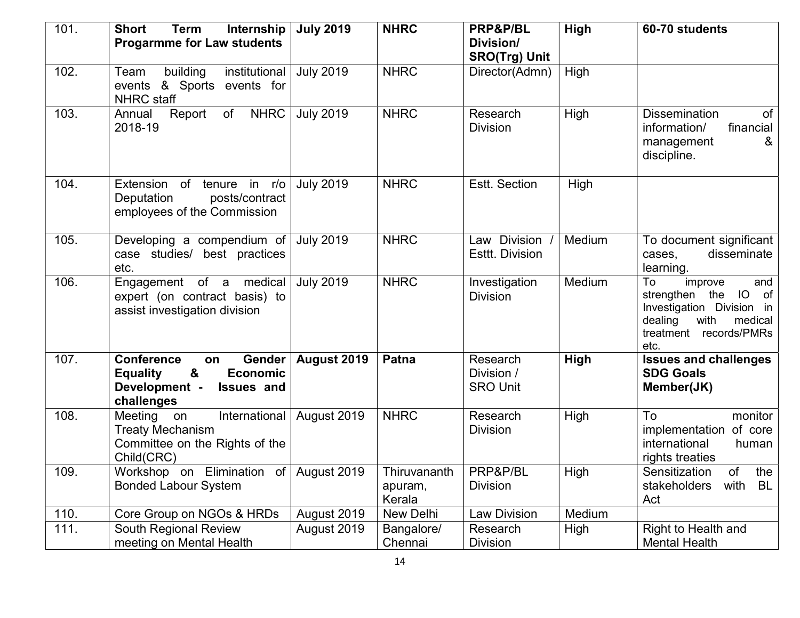| 101. | <b>Short</b><br><b>Term</b><br>Internship                                                                                        | <b>July 2019</b> | <b>NHRC</b>                       | PRP&P/BL                                  | High   | 60-70 students                                                                                                                                  |
|------|----------------------------------------------------------------------------------------------------------------------------------|------------------|-----------------------------------|-------------------------------------------|--------|-------------------------------------------------------------------------------------------------------------------------------------------------|
|      | <b>Progarmme for Law students</b>                                                                                                |                  |                                   | Division/                                 |        |                                                                                                                                                 |
| 102. | building<br>institutional<br>Team                                                                                                | <b>July 2019</b> | <b>NHRC</b>                       | <b>SRO(Trg) Unit</b><br>Director(Admn)    | High   |                                                                                                                                                 |
|      | & Sports events for<br>events<br><b>NHRC</b> staff                                                                               |                  |                                   |                                           |        |                                                                                                                                                 |
| 103. | Report<br>of<br><b>NHRC</b><br>Annual<br>2018-19                                                                                 | <b>July 2019</b> | <b>NHRC</b>                       | Research<br><b>Division</b>               | High   | of<br><b>Dissemination</b><br>information/<br>financial<br>&<br>management<br>discipline.                                                       |
| 104. | Extension of tenure in r/o<br>Deputation<br>posts/contract<br>employees of the Commission                                        | <b>July 2019</b> | <b>NHRC</b>                       | Estt. Section                             | High   |                                                                                                                                                 |
| 105. | Developing a compendium of<br>case studies/ best practices<br>etc.                                                               | <b>July 2019</b> | <b>NHRC</b>                       | Law Division<br><b>Esttt. Division</b>    | Medium | To document significant<br>disseminate<br>cases,<br>learning.                                                                                   |
| 106. | medical<br>Engagement of a<br>expert (on contract basis) to<br>assist investigation division                                     | <b>July 2019</b> | <b>NHRC</b>                       | Investigation<br><b>Division</b>          | Medium | and<br>To<br>improve<br>strengthen the<br>IO<br>of<br>Investigation Division in<br>dealing<br>with<br>medical<br>treatment records/PMRs<br>etc. |
| 107. | <b>Conference</b><br>Gender<br>on<br>&<br><b>Economic</b><br><b>Equality</b><br>Development -<br><b>Issues and</b><br>challenges | August 2019      | Patna                             | Research<br>Division /<br><b>SRO Unit</b> | High   | <b>Issues and challenges</b><br><b>SDG Goals</b><br>Member(JK)                                                                                  |
| 108. | International<br>Meeting<br>on<br><b>Treaty Mechanism</b><br>Committee on the Rights of the<br>Child(CRC)                        | August 2019      | <b>NHRC</b>                       | Research<br><b>Division</b>               | High   | To<br>monitor<br>implementation of core<br>international<br>human<br>rights treaties                                                            |
| 109. | Workshop on Elimination of<br><b>Bonded Labour System</b>                                                                        | August 2019      | Thiruvananth<br>apuram,<br>Kerala | PRP&P/BL<br><b>Division</b>               | High   | of<br>Sensitization<br>the<br>with<br>BL<br>stakeholders<br>Act                                                                                 |
| 110. | Core Group on NGOs & HRDs                                                                                                        | August 2019      | New Delhi                         | <b>Law Division</b>                       | Medium |                                                                                                                                                 |
| 111. | South Regional Review<br>meeting on Mental Health                                                                                | August 2019      | Bangalore/<br>Chennai             | Research<br><b>Division</b>               | High   | Right to Health and<br><b>Mental Health</b>                                                                                                     |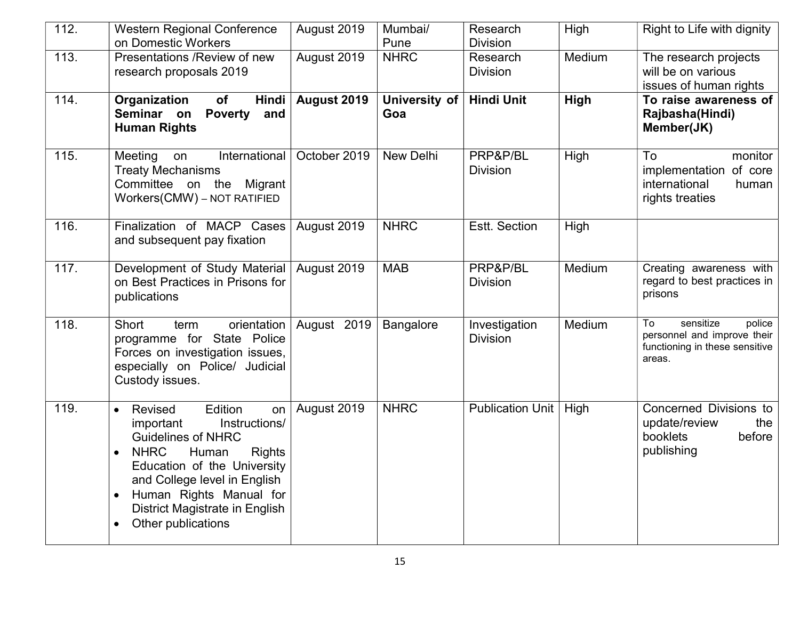| 112. | <b>Western Regional Conference</b><br>on Domestic Workers                                                                                                                                                                                                                                                                          | August 2019  | Mumbai/<br>Pune      | Research<br><b>Division</b>      | High   | Right to Life with dignity                                                                           |
|------|------------------------------------------------------------------------------------------------------------------------------------------------------------------------------------------------------------------------------------------------------------------------------------------------------------------------------------|--------------|----------------------|----------------------------------|--------|------------------------------------------------------------------------------------------------------|
| 113. | Presentations / Review of new<br>research proposals 2019                                                                                                                                                                                                                                                                           | August 2019  | <b>NHRC</b>          | Research<br><b>Division</b>      | Medium | The research projects<br>will be on various<br>issues of human rights                                |
| 114. | Organization<br><b>Hindi</b><br>of<br>Seminar on<br><b>Poverty</b><br>and<br><b>Human Rights</b>                                                                                                                                                                                                                                   | August 2019  | University of<br>Goa | <b>Hindi Unit</b>                | High   | To raise awareness of<br>Rajbasha(Hindi)<br>Member(JK)                                               |
| 115. | International<br>Meeting<br>on<br><b>Treaty Mechanisms</b><br>Committee on the Migrant<br>Workers(CMW) - NOT RATIFIED                                                                                                                                                                                                              | October 2019 | New Delhi            | PRP&P/BL<br><b>Division</b>      | High   | To<br>monitor<br>implementation of core<br>international<br>human<br>rights treaties                 |
| 116. | Finalization of MACP Cases<br>and subsequent pay fixation                                                                                                                                                                                                                                                                          | August 2019  | <b>NHRC</b>          | Estt. Section                    | High   |                                                                                                      |
| 117. | Development of Study Material<br>on Best Practices in Prisons for<br>publications                                                                                                                                                                                                                                                  | August 2019  | <b>MAB</b>           | PRP&P/BL<br><b>Division</b>      | Medium | Creating awareness with<br>regard to best practices in<br>prisons                                    |
| 118. | Short<br>orientation<br>term<br>programme for State Police<br>Forces on investigation issues,<br>especially on Police/ Judicial<br>Custody issues.                                                                                                                                                                                 | August 2019  | Bangalore            | Investigation<br><b>Division</b> | Medium | sensitize<br>police<br>To<br>personnel and improve their<br>functioning in these sensitive<br>areas. |
| 119. | Edition<br>Revised<br>on<br>$\bullet$<br>Instructions/<br>important<br><b>Guidelines of NHRC</b><br><b>NHRC</b><br>Human<br><b>Rights</b><br>$\bullet$<br>Education of the University<br>and College level in English<br>Human Rights Manual for<br>$\bullet$<br>District Magistrate in English<br>Other publications<br>$\bullet$ | August 2019  | <b>NHRC</b>          | Publication Unit                 | High   | Concerned Divisions to<br>update/review<br>the<br>booklets<br>before<br>publishing                   |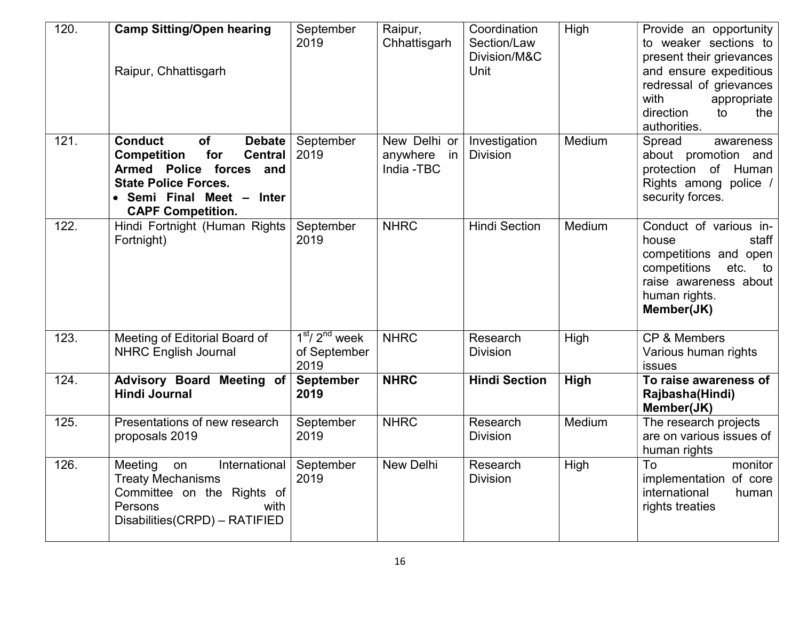| 120. | <b>Camp Sitting/Open hearing</b><br>Raipur, Chhattisgarh                                                                                                                                                       | September<br>2019                       | Raipur,<br>Chhattisgarh                      | Coordination<br>Section/Law<br>Division/M&C<br>Unit | High   | Provide an opportunity<br>to weaker sections to<br>present their grievances<br>and ensure expeditious<br>redressal of grievances<br>with<br>appropriate<br>direction<br>to<br>the<br>authorities. |
|------|----------------------------------------------------------------------------------------------------------------------------------------------------------------------------------------------------------------|-----------------------------------------|----------------------------------------------|-----------------------------------------------------|--------|---------------------------------------------------------------------------------------------------------------------------------------------------------------------------------------------------|
| 121. | <b>Conduct</b><br><b>of</b><br><b>Debate</b><br><b>Competition</b><br>for<br><b>Central</b><br>Armed Police forces and<br><b>State Police Forces.</b><br>• Semi Final Meet - Inter<br><b>CAPF Competition.</b> | September<br>2019                       | New Delhi or<br>anywhere<br>in<br>India -TBC | Investigation<br><b>Division</b>                    | Medium | Spread<br>awareness<br>about promotion and<br>protection of Human<br>Rights among police /<br>security forces.                                                                                    |
| 122. | Hindi Fortnight (Human Rights<br>Fortnight)                                                                                                                                                                    | September<br>2019                       | <b>NHRC</b>                                  | <b>Hindi Section</b>                                | Medium | Conduct of various in-<br>staff<br>house<br>competitions and open<br>competitions<br>etc.<br>to<br>raise awareness about<br>human rights.<br>Member(JK)                                           |
| 123. | Meeting of Editorial Board of<br><b>NHRC English Journal</b>                                                                                                                                                   | $1st/ 2nd$ week<br>of September<br>2019 | <b>NHRC</b>                                  | Research<br><b>Division</b>                         | High   | CP & Members<br>Various human rights<br><b>issues</b>                                                                                                                                             |
| 124. | Advisory Board Meeting of<br><b>Hindi Journal</b>                                                                                                                                                              | <b>September</b><br>2019                | <b>NHRC</b>                                  | <b>Hindi Section</b>                                | High   | To raise awareness of<br>Rajbasha(Hindi)<br>Member(JK)                                                                                                                                            |
| 125. | Presentations of new research<br>proposals 2019                                                                                                                                                                | September<br>2019                       | <b>NHRC</b>                                  | Research<br><b>Division</b>                         | Medium | The research projects<br>are on various issues of<br>human rights                                                                                                                                 |
| 126. | Meeting<br>International<br>on<br><b>Treaty Mechanisms</b><br>Committee on the Rights of<br>Persons<br>with<br>Disabilities (CRPD) - RATIFIED                                                                  | September<br>2019                       | New Delhi                                    | Research<br><b>Division</b>                         | High   | To<br>monitor<br>implementation of core<br>international<br>human<br>rights treaties                                                                                                              |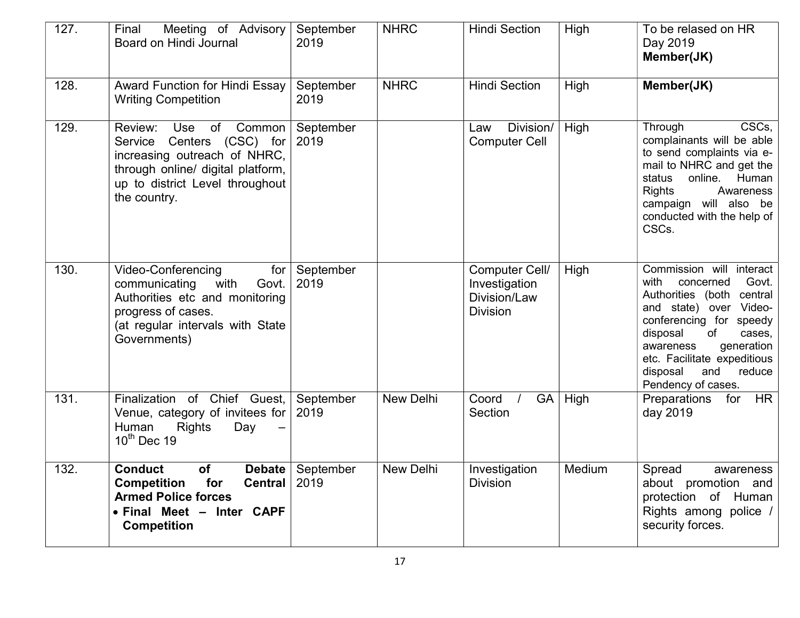| 127. | Meeting of Advisory<br>Final<br>Board on Hindi Journal                                                                                                                                 | September<br>2019 | <b>NHRC</b> | <b>Hindi Section</b>                                               | High      | To be relased on HR<br>Day 2019<br>Member(JK)                                                                                                                                                                                                                                     |
|------|----------------------------------------------------------------------------------------------------------------------------------------------------------------------------------------|-------------------|-------------|--------------------------------------------------------------------|-----------|-----------------------------------------------------------------------------------------------------------------------------------------------------------------------------------------------------------------------------------------------------------------------------------|
| 128. | <b>Award Function for Hindi Essay</b><br><b>Writing Competition</b>                                                                                                                    | September<br>2019 | <b>NHRC</b> | <b>Hindi Section</b>                                               | High      | Member(JK)                                                                                                                                                                                                                                                                        |
| 129. | Use<br>Common<br>Review:<br>of<br>Centers (CSC) for<br>Service<br>increasing outreach of NHRC,<br>through online/ digital platform,<br>up to district Level throughout<br>the country. | September<br>2019 |             | Division/<br>Law<br><b>Computer Cell</b>                           | High      | CSCs,<br>Through<br>complainants will be able<br>to send complaints via e-<br>mail to NHRC and get the<br>online.<br>Human<br>status<br><b>Rights</b><br>Awareness<br>campaign will also be<br>conducted with the help of<br>CSCs.                                                |
| 130. | <b>Video-Conferencing</b><br>for<br>with<br>communicating<br>Govt.<br>Authorities etc and monitoring<br>progress of cases.<br>(at regular intervals with State<br>Governments)         | September<br>2019 |             | Computer Cell/<br>Investigation<br>Division/Law<br><b>Division</b> | High      | Commission will interact<br>with<br>concerned<br>Govt.<br>Authorities (both central<br>and state) over Video-<br>conferencing for speedy<br>disposal<br>of<br>cases,<br>generation<br>awareness<br>etc. Facilitate expeditious<br>disposal<br>and<br>reduce<br>Pendency of cases. |
| 131. | Finalization of Chief Guest,<br>Venue, category of invitees for<br>Human<br><b>Rights</b><br>Day<br>$10^{th}$ Dec 19                                                                   | September<br>2019 | New Delhi   | Coord<br>Section                                                   | $GA$ High | Preparations for<br><b>HR</b><br>day 2019                                                                                                                                                                                                                                         |
| 132. | <b>Conduct</b><br>of<br><b>Debate</b><br>for<br><b>Competition</b><br><b>Central</b><br><b>Armed Police forces</b><br>• Final Meet - Inter CAPF<br><b>Competition</b>                  | September<br>2019 | New Delhi   | Investigation<br><b>Division</b>                                   | Medium    | Spread<br>awareness<br>about promotion and<br>protection of Human<br>Rights among police /<br>security forces.                                                                                                                                                                    |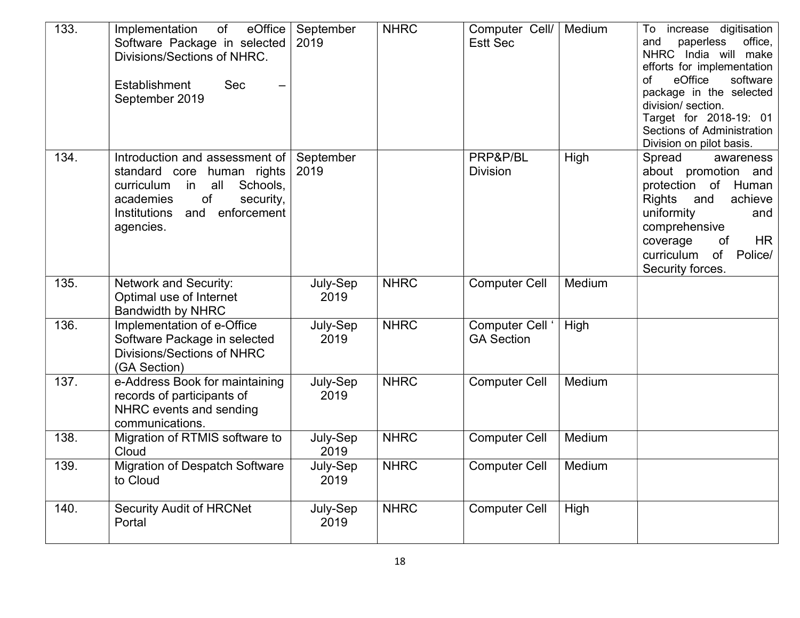| 133. | eOffice<br>Implementation<br>of<br>Software Package in selected<br>Divisions/Sections of NHRC.<br>Establishment<br><b>Sec</b><br>September 2019                                                  | September<br>2019 | <b>NHRC</b> | Computer Cell/<br><b>Estt Sec</b>    | Medium | increase digitisation<br>To<br>office,<br>and<br>paperless<br>NHRC India will make<br>efforts for implementation<br>eOffice<br>software<br>of<br>package in the selected<br>division/ section.<br>Target for 2018-19: 01<br>Sections of Administration<br>Division on pilot basis. |
|------|--------------------------------------------------------------------------------------------------------------------------------------------------------------------------------------------------|-------------------|-------------|--------------------------------------|--------|------------------------------------------------------------------------------------------------------------------------------------------------------------------------------------------------------------------------------------------------------------------------------------|
| 134. | Introduction and assessment of<br>standard core<br>human rights<br>all<br>Schools,<br>curriculum<br>in<br>of<br>security,<br>academies<br>enforcement<br><b>Institutions</b><br>and<br>agencies. | September<br>2019 |             | PRP&P/BL<br><b>Division</b>          | High   | Spread<br>awareness<br>about promotion and<br>protection of Human<br>Rights<br>achieve<br>and<br>uniformity<br>and<br>comprehensive<br><b>HR</b><br>coverage<br>of<br>of Police/<br>curriculum<br>Security forces.                                                                 |
| 135. | <b>Network and Security:</b><br>Optimal use of Internet<br><b>Bandwidth by NHRC</b>                                                                                                              | July-Sep<br>2019  | <b>NHRC</b> | <b>Computer Cell</b>                 | Medium |                                                                                                                                                                                                                                                                                    |
| 136. | Implementation of e-Office<br>Software Package in selected<br><b>Divisions/Sections of NHRC</b><br>(GA Section)                                                                                  | July-Sep<br>2019  | <b>NHRC</b> | Computer Cell '<br><b>GA Section</b> | High   |                                                                                                                                                                                                                                                                                    |
| 137. | e-Address Book for maintaining<br>records of participants of<br>NHRC events and sending<br>communications.                                                                                       | July-Sep<br>2019  | <b>NHRC</b> | <b>Computer Cell</b>                 | Medium |                                                                                                                                                                                                                                                                                    |
| 138. | Migration of RTMIS software to<br>Cloud                                                                                                                                                          | July-Sep<br>2019  | <b>NHRC</b> | <b>Computer Cell</b>                 | Medium |                                                                                                                                                                                                                                                                                    |
| 139. | <b>Migration of Despatch Software</b><br>to Cloud                                                                                                                                                | July-Sep<br>2019  | <b>NHRC</b> | <b>Computer Cell</b>                 | Medium |                                                                                                                                                                                                                                                                                    |
| 140. | <b>Security Audit of HRCNet</b><br>Portal                                                                                                                                                        | July-Sep<br>2019  | <b>NHRC</b> | <b>Computer Cell</b>                 | High   |                                                                                                                                                                                                                                                                                    |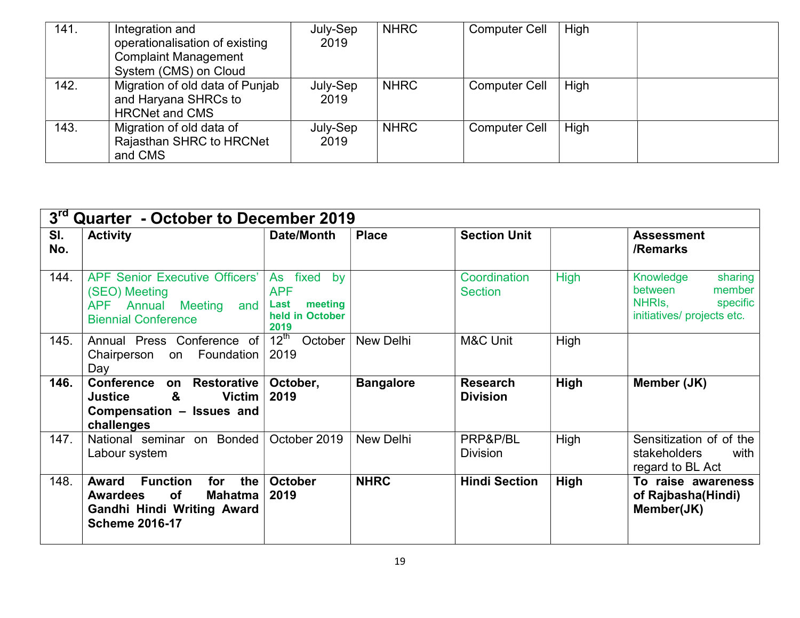| 141. | Integration and<br>operationalisation of existing<br><b>Complaint Management</b>                          | July-Sep<br>2019 | <b>NHRC</b> | <b>Computer Cell</b> | High |
|------|-----------------------------------------------------------------------------------------------------------|------------------|-------------|----------------------|------|
| 142. | System (CMS) on Cloud<br>Migration of old data of Punjab<br>and Haryana SHRCs to<br><b>HRCNet and CMS</b> | July-Sep<br>2019 | <b>NHRC</b> | <b>Computer Cell</b> | High |
| 143. | Migration of old data of<br>Rajasthan SHRC to HRCNet<br>and CMS                                           | July-Sep<br>2019 | <b>NHRC</b> | <b>Computer Cell</b> | High |

| $3^{\text{rd}}$ | Quarter - October to December 2019                                                                                                                     |                                                                               |                  |                                    |             |                                                                                               |  |
|-----------------|--------------------------------------------------------------------------------------------------------------------------------------------------------|-------------------------------------------------------------------------------|------------------|------------------------------------|-------------|-----------------------------------------------------------------------------------------------|--|
| SI.<br>No.      | <b>Activity</b>                                                                                                                                        | Date/Month                                                                    | <b>Place</b>     | <b>Section Unit</b>                |             | <b>Assessment</b><br>/Remarks                                                                 |  |
| 144.            | <b>APF Senior Executive Officers'</b><br>(SEO) Meeting<br>APF Annual Meeting and<br><b>Biennial Conference</b>                                         | fixed<br>As<br>by<br><b>APF</b><br>meeting<br>Last<br>held in October<br>2019 |                  | Coordination<br><b>Section</b>     | <b>High</b> | Knowledge<br>sharing<br>member<br>between<br>NHRIS.<br>specific<br>initiatives/ projects etc. |  |
| 145.            | Annual Press Conference of<br>Chairperson on Foundation<br>Day                                                                                         | $12^{\text{th}}$<br>October<br>2019                                           | New Delhi        | M&C Unit                           | High        |                                                                                               |  |
| 146.            | <b>Conference</b><br><b>Restorative</b><br>on<br>&<br><b>Victim</b><br><b>Justice</b><br>Compensation - Issues and<br>challenges                       | October,<br>2019                                                              | <b>Bangalore</b> | <b>Research</b><br><b>Division</b> | High        | Member (JK)                                                                                   |  |
| 147.            | National seminar on Bonded<br>Labour system                                                                                                            | October 2019                                                                  | New Delhi        | PRP&P/BL<br><b>Division</b>        | High        | Sensitization of of the<br>stakeholders<br>with<br>regard to BL Act                           |  |
| 148.            | <b>Function</b><br><b>Award</b><br>the<br>for<br>of<br><b>Awardees</b><br><b>Mahatma</b><br><b>Gandhi Hindi Writing Award</b><br><b>Scheme 2016-17</b> | <b>October</b><br>2019                                                        | <b>NHRC</b>      | <b>Hindi Section</b>               | High        | To raise awareness<br>of Rajbasha(Hindi)<br>Member(JK)                                        |  |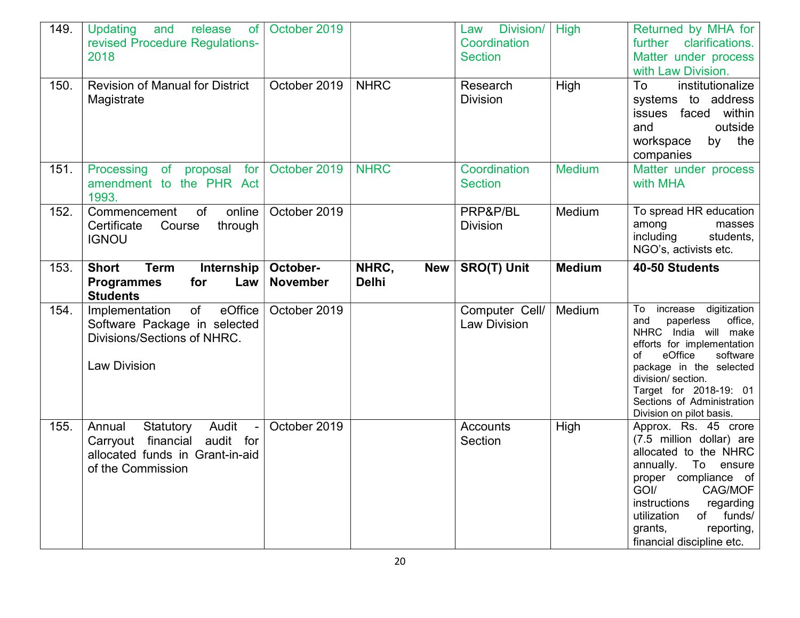| 149.         | and release<br>Updating<br>of<br>revised Procedure Regulations-<br>2018                                                                                                           | October 2019                 |                                     | Division/<br>Law<br>Coordination<br><b>Section</b> | <b>High</b>    | Returned by MHA for<br>further clarifications.<br>Matter under process<br>with Law Division.                                                                                                                                                                                                            |
|--------------|-----------------------------------------------------------------------------------------------------------------------------------------------------------------------------------|------------------------------|-------------------------------------|----------------------------------------------------|----------------|---------------------------------------------------------------------------------------------------------------------------------------------------------------------------------------------------------------------------------------------------------------------------------------------------------|
| 150.         | <b>Revision of Manual for District</b><br>Magistrate                                                                                                                              | October 2019                 | <b>NHRC</b>                         | Research<br><b>Division</b>                        | High           | To<br>institutionalize<br>systems to address<br>issues faced within<br>outside<br>and<br>by the<br>workspace<br>companies                                                                                                                                                                               |
| 151.         | Processing<br>of proposal for<br>amendment to the PHR Act<br>1993.                                                                                                                | October 2019                 | <b>NHRC</b>                         | Coordination<br><b>Section</b>                     | <b>Medium</b>  | Matter under process<br>with MHA                                                                                                                                                                                                                                                                        |
| 152.         | online<br>Commencement<br>of<br>through<br>Certificate<br>Course<br><b>IGNOU</b>                                                                                                  | October 2019                 |                                     | PRP&P/BL<br><b>Division</b>                        | Medium         | To spread HR education<br>among<br>masses<br>including<br>students,<br>NGO's, activists etc.                                                                                                                                                                                                            |
| 153.         | Internship<br><b>Short</b><br><b>Term</b><br>for<br>Law<br><b>Programmes</b><br><b>Students</b>                                                                                   | October-<br><b>November</b>  | NHRC,<br><b>New</b><br><b>Delhi</b> | <b>SRO(T) Unit</b>                                 | <b>Medium</b>  | 40-50 Students                                                                                                                                                                                                                                                                                          |
|              |                                                                                                                                                                                   |                              |                                     |                                                    |                |                                                                                                                                                                                                                                                                                                         |
| 154.<br>155. | eOffice<br>of<br>Implementation<br>Software Package in selected<br>Divisions/Sections of NHRC.<br><b>Law Division</b><br>Audit<br>Annual<br>Statutory<br>$\overline{\phantom{a}}$ | October 2019<br>October 2019 |                                     | Computer Cell/<br><b>Law Division</b><br>Accounts  | Medium<br>High | To increase digitization<br>paperless<br>and<br>office,<br>NHRC India will make<br>efforts for implementation<br>eOffice<br>software<br>of<br>package in the selected<br>division/ section.<br>Target for 2018-19: 01<br>Sections of Administration<br>Division on pilot basis.<br>Approx. Rs. 45 crore |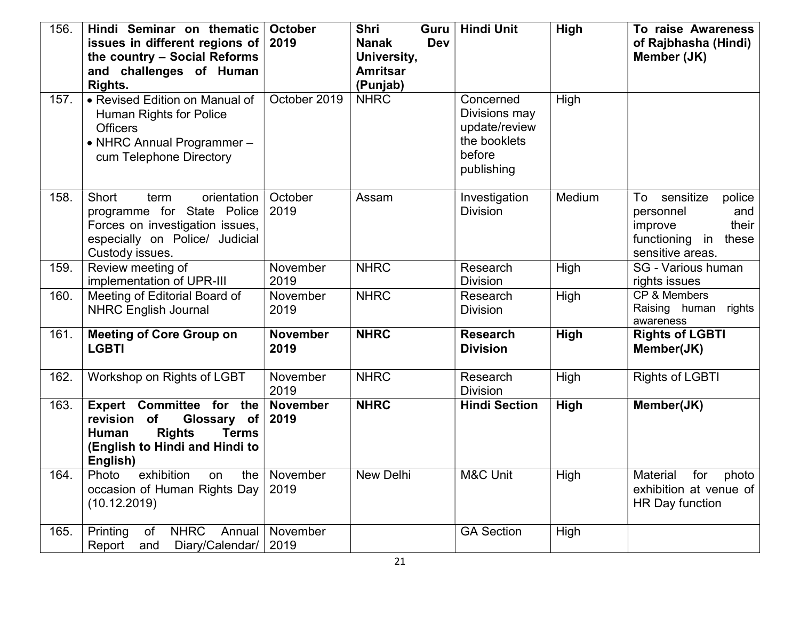| 156. | Hindi Seminar on thematic<br>issues in different regions of<br>the country - Social Reforms<br>and challenges of Human<br>Rights.                  | <b>October</b><br>2019  | <b>Shri</b><br>Guru<br><b>Dev</b><br><b>Nanak</b><br>University,<br><b>Amritsar</b><br>(Punjab) | <b>Hindi Unit</b>                                                                   | High        | To raise Awareness<br>of Rajbhasha (Hindi)<br>Member (JK)                                                           |
|------|----------------------------------------------------------------------------------------------------------------------------------------------------|-------------------------|-------------------------------------------------------------------------------------------------|-------------------------------------------------------------------------------------|-------------|---------------------------------------------------------------------------------------------------------------------|
| 157. | • Revised Edition on Manual of<br>Human Rights for Police<br><b>Officers</b><br>• NHRC Annual Programmer-<br>cum Telephone Directory               | October 2019            | <b>NHRC</b>                                                                                     | Concerned<br>Divisions may<br>update/review<br>the booklets<br>before<br>publishing | High        |                                                                                                                     |
| 158. | Short<br>orientation<br>term<br>programme for State Police<br>Forces on investigation issues,<br>especially on Police/ Judicial<br>Custody issues. | October<br>2019         | Assam                                                                                           | Investigation<br><b>Division</b>                                                    | Medium      | sensitize<br>To<br>police<br>personnel<br>and<br>their<br>improve<br>functioning<br>in<br>these<br>sensitive areas. |
| 159. | Review meeting of<br>implementation of UPR-III                                                                                                     | November<br>2019        | <b>NHRC</b>                                                                                     | Research<br><b>Division</b>                                                         | High        | SG - Various human<br>rights issues                                                                                 |
| 160. | Meeting of Editorial Board of<br><b>NHRC English Journal</b>                                                                                       | November<br>2019        | <b>NHRC</b>                                                                                     | Research<br><b>Division</b>                                                         | High        | CP & Members<br>Raising human rights<br>awareness                                                                   |
| 161. | <b>Meeting of Core Group on</b><br><b>LGBTI</b>                                                                                                    | <b>November</b><br>2019 | <b>NHRC</b>                                                                                     | <b>Research</b><br><b>Division</b>                                                  | <b>High</b> | <b>Rights of LGBTI</b><br>Member(JK)                                                                                |
| 162. | Workshop on Rights of LGBT                                                                                                                         | November<br>2019        | <b>NHRC</b>                                                                                     | Research<br><b>Division</b>                                                         | High        | <b>Rights of LGBTI</b>                                                                                              |
| 163. | Expert Committee for the<br>revision of<br>Glossary of<br><b>Rights</b><br><b>Terms</b><br>Human<br>(English to Hindi and Hindi to<br>English)     | <b>November</b><br>2019 | <b>NHRC</b>                                                                                     | <b>Hindi Section</b>                                                                | High        | Member(JK)                                                                                                          |
| 164. | Photo exhibition on the November<br>occasion of Human Rights Day<br>(10.12.2019)                                                                   | 2019                    | New Delhi                                                                                       | M&C Unit                                                                            | High        | Material for photo<br>exhibition at venue of<br>HR Day function                                                     |
| 165. | <b>NHRC</b><br>Printing<br>of<br>Diary/Calendar/ 2019<br>Report<br>and                                                                             | Annual   November       |                                                                                                 | <b>GA Section</b>                                                                   | High        |                                                                                                                     |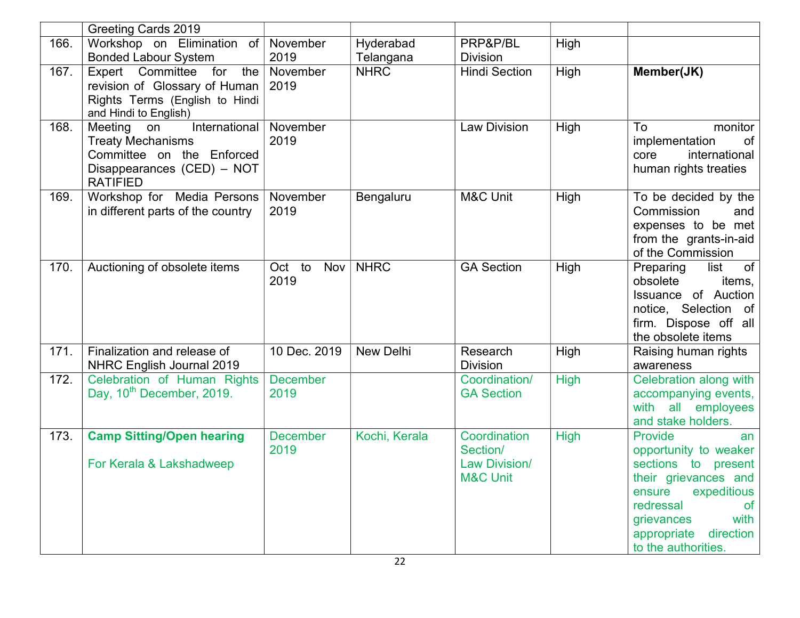|      | <b>Greeting Cards 2019</b>                                                                                                               |                         |                        |                                                                         |             |                                                                                                                                                                                                                   |
|------|------------------------------------------------------------------------------------------------------------------------------------------|-------------------------|------------------------|-------------------------------------------------------------------------|-------------|-------------------------------------------------------------------------------------------------------------------------------------------------------------------------------------------------------------------|
| 166. | Workshop on Elimination of November<br><b>Bonded Labour System</b>                                                                       | 2019                    | Hyderabad<br>Telangana | PRP&P/BL<br><b>Division</b>                                             | High        |                                                                                                                                                                                                                   |
| 167. | Expert Committee<br>for<br>the $ $<br>revision of Glossary of Human<br>Rights Terms (English to Hindi<br>and Hindi to English)           | November<br>2019        | <b>NHRC</b>            | <b>Hindi Section</b>                                                    | High        | Member(JK)                                                                                                                                                                                                        |
| 168. | International<br>Meeting<br>on<br><b>Treaty Mechanisms</b><br>Committee on the Enforced<br>Disappearances (CED) - NOT<br><b>RATIFIED</b> | November<br>2019        |                        | <b>Law Division</b>                                                     | High        | monitor<br>To<br>implementation<br>of<br>international<br>core<br>human rights treaties                                                                                                                           |
| 169. | Workshop for Media Persons<br>in different parts of the country                                                                          | November<br>2019        | Bengaluru              | M&C Unit                                                                | High        | To be decided by the<br>Commission<br>and<br>expenses to be met<br>from the grants-in-aid<br>of the Commission                                                                                                    |
| 170. | Auctioning of obsolete items                                                                                                             | Oct to<br>Nov<br>2019   | <b>NHRC</b>            | <b>GA Section</b>                                                       | High        | of<br>Preparing<br>list<br>obsolete<br>items,<br>of Auction<br>Issuance<br>notice, Selection of<br>firm. Dispose off all<br>the obsolete items                                                                    |
| 171. | Finalization and release of<br>NHRC English Journal 2019                                                                                 | 10 Dec. 2019            | <b>New Delhi</b>       | Research<br><b>Division</b>                                             | High        | Raising human rights<br>awareness                                                                                                                                                                                 |
| 172. | Celebration of Human Rights<br>Day, 10 <sup>th</sup> December, 2019.                                                                     | <b>December</b><br>2019 |                        | Coordination/<br><b>GA Section</b>                                      | <b>High</b> | Celebration along with<br>accompanying events,<br>with all employees<br>and stake holders.                                                                                                                        |
| 173. | <b>Camp Sitting/Open hearing</b><br>For Kerala & Lakshadweep                                                                             | <b>December</b><br>2019 | Kochi, Kerala          | Coordination<br>Section/<br><b>Law Division/</b><br><b>M&amp;C Unit</b> | <b>High</b> | Provide<br>an<br>opportunity to weaker<br>sections to present<br>their grievances and<br>expeditious<br>ensure<br>redressal<br><b>of</b><br>grievances<br>with<br>direction<br>appropriate<br>to the authorities. |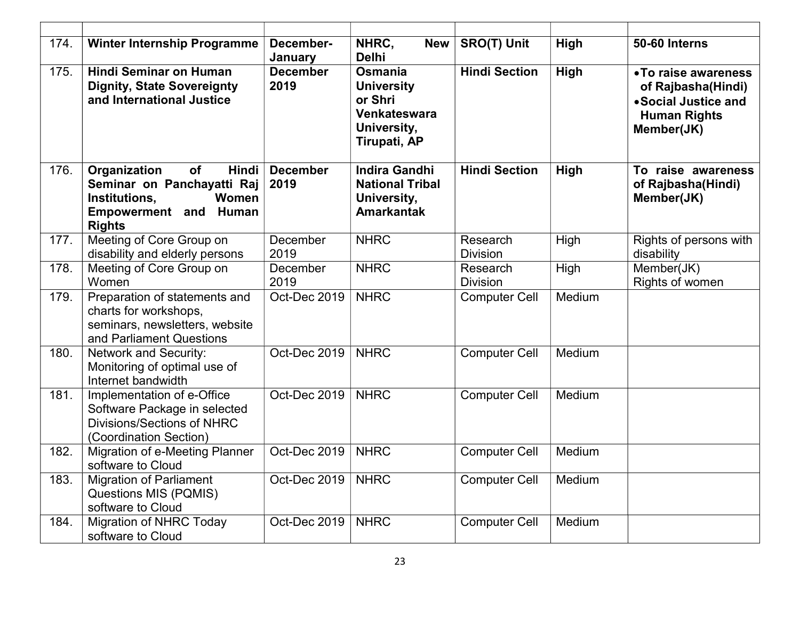| 174. | <b>Winter Internship Programme</b>                                                                                                          | December-<br>January    | NHRC,<br><b>New</b><br><b>Delhi</b>                                                    | <b>SRO(T) Unit</b>          | High   | 50-60 Interns                                                                                           |
|------|---------------------------------------------------------------------------------------------------------------------------------------------|-------------------------|----------------------------------------------------------------------------------------|-----------------------------|--------|---------------------------------------------------------------------------------------------------------|
| 175. | <b>Hindi Seminar on Human</b><br><b>Dignity, State Sovereignty</b><br>and International Justice                                             | <b>December</b><br>2019 | Osmania<br><b>University</b><br>or Shri<br>Venkateswara<br>University,<br>Tirupati, AP | <b>Hindi Section</b>        | High   | • To raise awareness<br>of Rajbasha(Hindi)<br>• Social Justice and<br><b>Human Rights</b><br>Member(JK) |
| 176. | Organization<br><b>of</b><br>Hindi<br>Seminar on Panchayatti Raj<br>Institutions,<br>Women<br><b>Empowerment and Human</b><br><b>Rights</b> | <b>December</b><br>2019 | <b>Indira Gandhi</b><br><b>National Tribal</b><br>University,<br><b>Amarkantak</b>     | <b>Hindi Section</b>        | High   | To raise awareness<br>of Rajbasha(Hindi)<br>Member(JK)                                                  |
| 177. | Meeting of Core Group on<br>disability and elderly persons                                                                                  | December<br>2019        | <b>NHRC</b>                                                                            | Research<br><b>Division</b> | High   | Rights of persons with<br>disability                                                                    |
| 178. | Meeting of Core Group on<br>Women                                                                                                           | December<br>2019        | <b>NHRC</b>                                                                            | Research<br><b>Division</b> | High   | Member(JK)<br>Rights of women                                                                           |
| 179. | Preparation of statements and<br>charts for workshops,<br>seminars, newsletters, website<br>and Parliament Questions                        | Oct-Dec 2019            | <b>NHRC</b>                                                                            | <b>Computer Cell</b>        | Medium |                                                                                                         |
| 180. | <b>Network and Security:</b><br>Monitoring of optimal use of<br>Internet bandwidth                                                          | Oct-Dec 2019            | <b>NHRC</b>                                                                            | <b>Computer Cell</b>        | Medium |                                                                                                         |
| 181. | Implementation of e-Office<br>Software Package in selected<br>Divisions/Sections of NHRC<br>(Coordination Section)                          | Oct-Dec 2019            | <b>NHRC</b>                                                                            | <b>Computer Cell</b>        | Medium |                                                                                                         |
| 182. | <b>Migration of e-Meeting Planner</b><br>software to Cloud                                                                                  | Oct-Dec 2019            | <b>NHRC</b>                                                                            | <b>Computer Cell</b>        | Medium |                                                                                                         |
| 183. | <b>Migration of Parliament</b><br>Questions MIS (PQMIS)<br>software to Cloud                                                                | Oct-Dec 2019            | <b>NHRC</b>                                                                            | <b>Computer Cell</b>        | Medium |                                                                                                         |
| 184. | <b>Migration of NHRC Today</b><br>software to Cloud                                                                                         | Oct-Dec 2019            | <b>NHRC</b>                                                                            | <b>Computer Cell</b>        | Medium |                                                                                                         |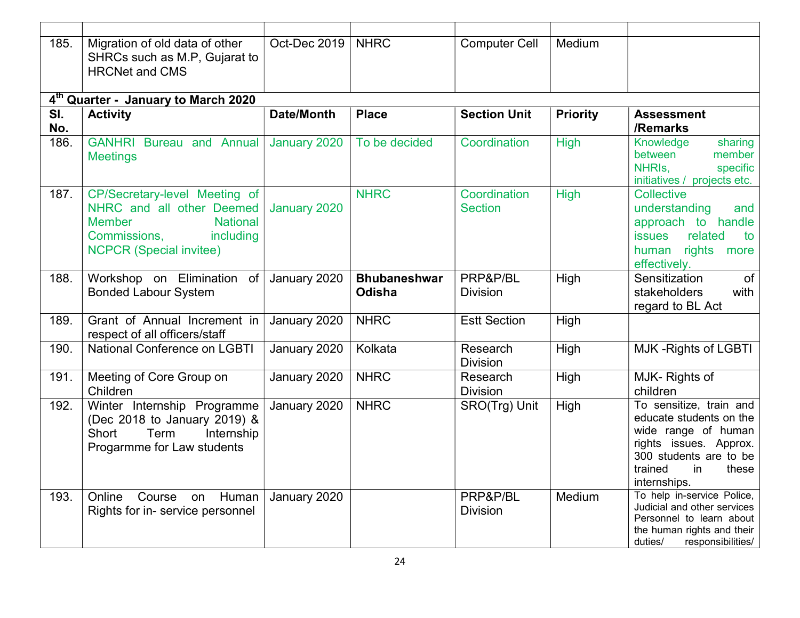| 185.                              | Migration of old data of other<br>SHRCs such as M.P, Gujarat to<br><b>HRCNet and CMS</b>                                                                      | Oct-Dec 2019      | <b>NHRC</b>                   | <b>Computer Cell</b>           | Medium          |                                                                                                                                                                         |  |  |  |  |
|-----------------------------------|---------------------------------------------------------------------------------------------------------------------------------------------------------------|-------------------|-------------------------------|--------------------------------|-----------------|-------------------------------------------------------------------------------------------------------------------------------------------------------------------------|--|--|--|--|
|                                   | 4 <sup>th</sup> Quarter - January to March 2020                                                                                                               |                   |                               |                                |                 |                                                                                                                                                                         |  |  |  |  |
| $\overline{\mathsf{SI}}$ .<br>No. | <b>Activity</b>                                                                                                                                               | <b>Date/Month</b> | <b>Place</b>                  | <b>Section Unit</b>            | <b>Priority</b> | <b>Assessment</b><br>/Remarks                                                                                                                                           |  |  |  |  |
| 186.                              | <b>GANHRI Bureau and Annual</b><br><b>Meetings</b>                                                                                                            | January 2020      | To be decided                 | Coordination                   | <b>High</b>     | Knowledge<br>sharing<br>between<br>member<br>NHRIs,<br>specific<br>initiatives / projects etc.                                                                          |  |  |  |  |
| 187.                              | CP/Secretary-level Meeting of<br>NHRC and all other Deemed<br><b>Member</b><br><b>National</b><br>Commissions,<br>including<br><b>NCPCR (Special invitee)</b> | January 2020      | <b>NHRC</b>                   | Coordination<br><b>Section</b> | <b>High</b>     | Collective<br>understanding<br>and<br>approach to handle<br>related<br><b>issues</b><br>to<br>rights<br>human<br>more<br>effectively.                                   |  |  |  |  |
| 188.                              | Workshop on Elimination<br>of<br><b>Bonded Labour System</b>                                                                                                  | January 2020      | <b>Bhubaneshwar</b><br>Odisha | PRP&P/BL<br><b>Division</b>    | High            | Sensitization<br>of<br>stakeholders<br>with<br>regard to BL Act                                                                                                         |  |  |  |  |
| 189.                              | Grant of Annual Increment in<br>respect of all officers/staff                                                                                                 | January 2020      | <b>NHRC</b>                   | <b>Estt Section</b>            | High            |                                                                                                                                                                         |  |  |  |  |
| 190.                              | <b>National Conference on LGBTI</b>                                                                                                                           | January 2020      | Kolkata                       | Research<br><b>Division</b>    | High            | MJK-Rights of LGBTI                                                                                                                                                     |  |  |  |  |
| 191.                              | Meeting of Core Group on<br>Children                                                                                                                          | January 2020      | <b>NHRC</b>                   | Research<br><b>Division</b>    | High            | MJK-Rights of<br>children                                                                                                                                               |  |  |  |  |
| 192.                              | Winter Internship Programme<br>(Dec 2018 to January 2019) &<br>Short<br>Term<br>Internship<br>Progarmme for Law students                                      | January 2020      | <b>NHRC</b>                   | SRO(Trg) Unit                  | High            | To sensitize, train and<br>educate students on the<br>wide range of human<br>rights issues. Approx.<br>300 students are to be<br>trained<br>in<br>these<br>internships. |  |  |  |  |
| 193.                              | Online<br>Course<br>Human<br>on<br>Rights for in- service personnel                                                                                           | January 2020      |                               | PRP&P/BL<br><b>Division</b>    | Medium          | To help in-service Police,<br>Judicial and other services<br>Personnel to learn about<br>the human rights and their<br>duties/<br>responsibilities/                     |  |  |  |  |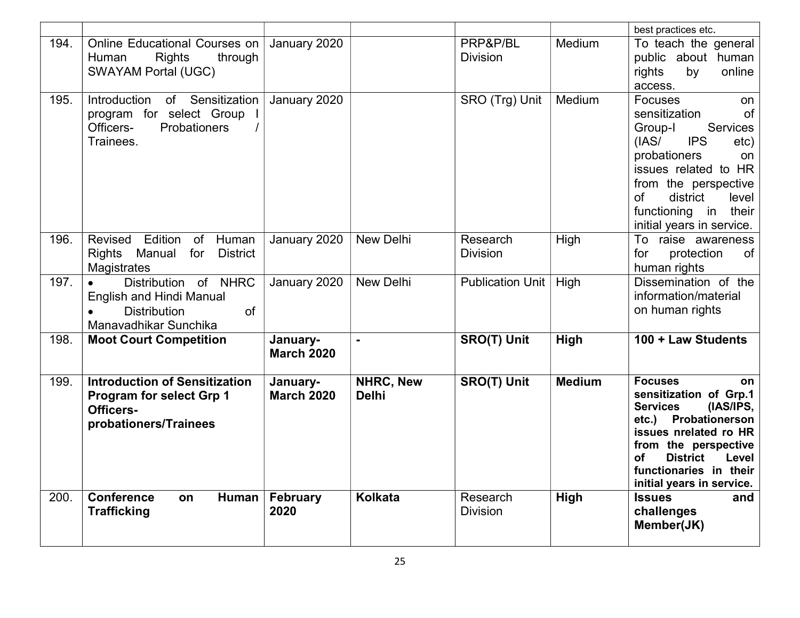|      |                                                                                                                      |                               |                           |                             |               | best practices etc.                                                                                                                                                                                                                                               |
|------|----------------------------------------------------------------------------------------------------------------------|-------------------------------|---------------------------|-----------------------------|---------------|-------------------------------------------------------------------------------------------------------------------------------------------------------------------------------------------------------------------------------------------------------------------|
| 194. | <b>Online Educational Courses on</b><br><b>Rights</b><br>through<br>Human<br><b>SWAYAM Portal (UGC)</b>              | January 2020                  |                           | PRP&P/BL<br><b>Division</b> | Medium        | To teach the general<br>public about human<br>rights<br>online<br>by<br>access.                                                                                                                                                                                   |
| 195. | Introduction<br>of Sensitization<br>program for select Group<br>Officers-<br>Probationers<br>Trainees.               | January 2020                  |                           | SRO (Trg) Unit              | Medium        | <b>Focuses</b><br>on<br>of<br>sensitization<br><b>Services</b><br>Group-I<br><b>IPS</b><br>(IAS/<br>etc)<br>probationers<br>on<br>issues related to HR<br>from the perspective<br>of<br>district<br>level<br>functioning in<br>their<br>initial years in service. |
| 196. | Edition<br>Revised<br>of<br>Human<br>Manual<br>for<br><b>Rights</b><br><b>District</b><br>Magistrates                | January 2020                  | <b>New Delhi</b>          | Research<br><b>Division</b> | High          | To raise awareness<br>of<br>protection<br>for<br>human rights                                                                                                                                                                                                     |
| 197. | Distribution of NHRC<br><b>English and Hindi Manual</b><br>of<br><b>Distribution</b><br>Manavadhikar Sunchika        | January 2020                  | <b>New Delhi</b>          | <b>Publication Unit</b>     | High          | Dissemination of the<br>information/material<br>on human rights                                                                                                                                                                                                   |
| 198. | <b>Moot Court Competition</b>                                                                                        | January-<br><b>March 2020</b> |                           | <b>SRO(T) Unit</b>          | High          | 100 + Law Students                                                                                                                                                                                                                                                |
| 199. | <b>Introduction of Sensitization</b><br><b>Program for select Grp 1</b><br><b>Officers-</b><br>probationers/Trainees | January-<br><b>March 2020</b> | NHRC, New<br><b>Delhi</b> | <b>SRO(T) Unit</b>          | <b>Medium</b> | <b>Focuses</b><br>on<br>sensitization of Grp.1<br>(IAS/IPS,<br><b>Services</b><br>etc.) Probationerson<br>issues nrelated ro HR<br>from the perspective<br><b>District</b><br>Level<br>οf<br>functionaries in their<br>initial years in service.                  |
| 200. | Human<br><b>Conference</b><br>on<br><b>Trafficking</b>                                                               | February<br>2020              | Kolkata                   | Research<br><b>Division</b> | <b>High</b>   | <b>Issues</b><br>and<br>challenges<br>Member(JK)                                                                                                                                                                                                                  |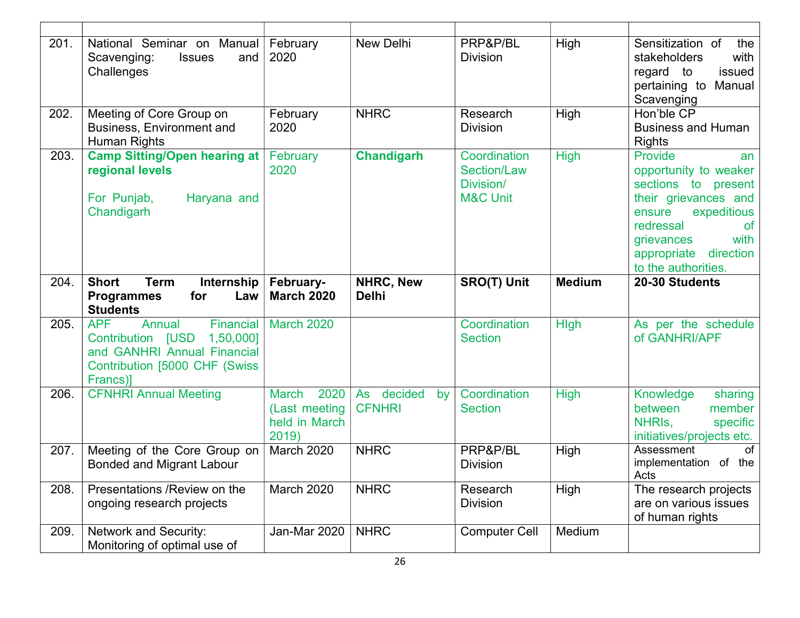| 201. | National Seminar on Manual<br>Scavenging:<br>and<br><b>Issues</b><br>Challenges                                                                        | February<br>2020                                                | New Delhi                         | PRP&P/BL<br><b>Division</b>                                            | High          | Sensitization of<br>the<br>stakeholders<br>with<br>regard to<br>issued<br>pertaining to<br>Manual<br>Scavenging                                                                                                   |
|------|--------------------------------------------------------------------------------------------------------------------------------------------------------|-----------------------------------------------------------------|-----------------------------------|------------------------------------------------------------------------|---------------|-------------------------------------------------------------------------------------------------------------------------------------------------------------------------------------------------------------------|
| 202. | Meeting of Core Group on<br>Business, Environment and<br>Human Rights                                                                                  | February<br>2020                                                | <b>NHRC</b>                       | Research<br><b>Division</b>                                            | High          | Hon'ble CP<br><b>Business and Human</b><br><b>Rights</b>                                                                                                                                                          |
| 203. | <b>Camp Sitting/Open hearing at</b><br>regional levels<br>For Punjab,<br>Haryana and<br>Chandigarh                                                     | February<br>2020                                                | <b>Chandigarh</b>                 | Coordination<br><b>Section/Law</b><br>Division/<br><b>M&amp;C Unit</b> | <b>High</b>   | Provide<br>an<br>opportunity to weaker<br>sections to present<br>their grievances and<br>expeditious<br>ensure<br>redressal<br><b>of</b><br>with<br>grievances<br>direction<br>appropriate<br>to the authorities. |
| 204. | <b>Short</b><br><b>Term</b><br>Internship<br>for<br>Law<br><b>Programmes</b><br><b>Students</b>                                                        | February-<br><b>March 2020</b>                                  | NHRC, New<br><b>Delhi</b>         | <b>SRO(T) Unit</b>                                                     | <b>Medium</b> | 20-30 Students                                                                                                                                                                                                    |
| 205. | <b>APF</b><br>Annual<br>Financial<br><b>Contribution [USD</b><br>1,50,000]<br>and GANHRI Annual Financial<br>Contribution [5000 CHF (Swiss<br>Francs)] | <b>March 2020</b>                                               |                                   | Coordination<br><b>Section</b>                                         | <b>Hlgh</b>   | As per the schedule<br>of GANHRI/APF                                                                                                                                                                              |
| 206. | <b>CFNHRI Annual Meeting</b>                                                                                                                           | 2020<br><b>March</b><br>(Last meeting<br>held in March<br>2019) | As decided<br>by<br><b>CFNHRI</b> | Coordination<br><b>Section</b>                                         | <b>High</b>   | Knowledge<br>sharing<br>between<br>member<br>NHRIS,<br>specific<br>initiatives/projects etc.                                                                                                                      |
| 207. | Meeting of the Core Group on<br><b>Bonded and Migrant Labour</b>                                                                                       | March 2020                                                      | <b>NHRC</b>                       | PRP&P/BL<br><b>Division</b>                                            | High          | of<br>Assessment<br>implementation of the<br>Acts                                                                                                                                                                 |
| 208. | Presentations / Review on the<br>ongoing research projects                                                                                             | March 2020                                                      | <b>NHRC</b>                       | Research<br><b>Division</b>                                            | High          | The research projects<br>are on various issues<br>of human rights                                                                                                                                                 |
| 209. | <b>Network and Security:</b>                                                                                                                           | Jan-Mar 2020                                                    | <b>NHRC</b>                       | <b>Computer Cell</b>                                                   | Medium        |                                                                                                                                                                                                                   |